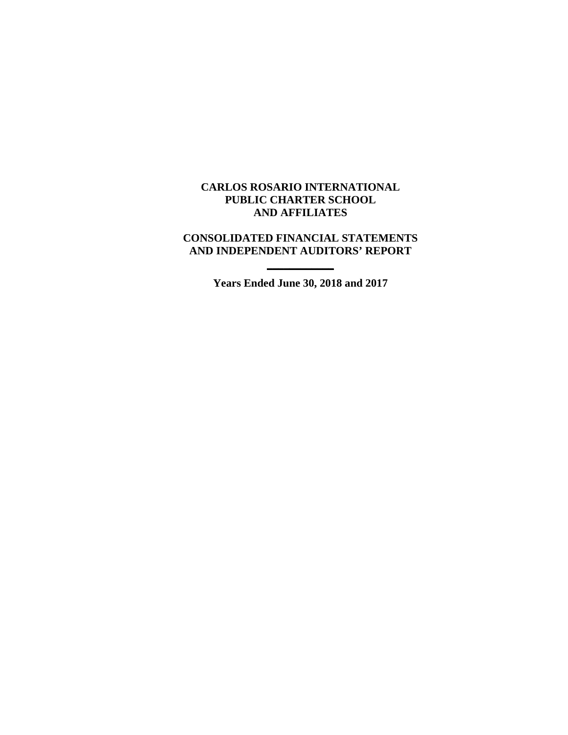### **CARLOS ROSARIO INTERNATIONAL PUBLIC CHARTER SCHOOL AND AFFILIATES**

### **CONSOLIDATED FINANCIAL STATEMENTS AND INDEPENDENT AUDITORS' REPORT**

**Years Ended June 30, 2018 and 2017**

**\_\_\_\_\_\_\_\_\_\_\_\_**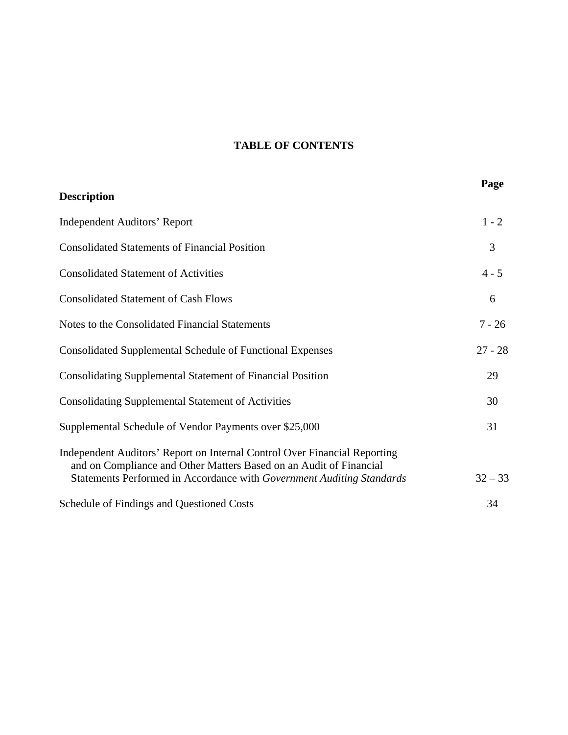# **TABLE OF CONTENTS**

| <b>Description</b>                                                                                                                                                                                                       | Page      |
|--------------------------------------------------------------------------------------------------------------------------------------------------------------------------------------------------------------------------|-----------|
| <b>Independent Auditors' Report</b>                                                                                                                                                                                      | $1 - 2$   |
| <b>Consolidated Statements of Financial Position</b>                                                                                                                                                                     | 3         |
| <b>Consolidated Statement of Activities</b>                                                                                                                                                                              | $4 - 5$   |
| <b>Consolidated Statement of Cash Flows</b>                                                                                                                                                                              | 6         |
| Notes to the Consolidated Financial Statements                                                                                                                                                                           | $7 - 26$  |
| <b>Consolidated Supplemental Schedule of Functional Expenses</b>                                                                                                                                                         | $27 - 28$ |
| <b>Consolidating Supplemental Statement of Financial Position</b>                                                                                                                                                        | 29        |
| <b>Consolidating Supplemental Statement of Activities</b>                                                                                                                                                                | 30        |
| Supplemental Schedule of Vendor Payments over \$25,000                                                                                                                                                                   | 31        |
| Independent Auditors' Report on Internal Control Over Financial Reporting<br>and on Compliance and Other Matters Based on an Audit of Financial<br>Statements Performed in Accordance with Government Auditing Standards | $32 - 33$ |
| Schedule of Findings and Questioned Costs                                                                                                                                                                                | 34        |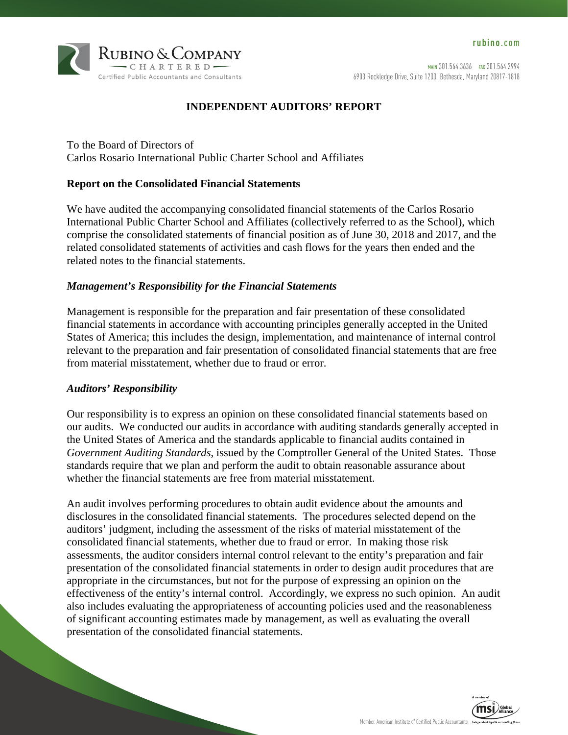

## **INDEPENDENT AUDITORS' REPORT**

To the Board of Directors of Carlos Rosario International Public Charter School and Affiliates

### **Report on the Consolidated Financial Statements**

We have audited the accompanying consolidated financial statements of the Carlos Rosario International Public Charter School and Affiliates (collectively referred to as the School), which comprise the consolidated statements of financial position as of June 30, 2018 and 2017, and the related consolidated statements of activities and cash flows for the years then ended and the related notes to the financial statements.

#### *Management's Responsibility for the Financial Statements*

Management is responsible for the preparation and fair presentation of these consolidated financial statements in accordance with accounting principles generally accepted in the United States of America; this includes the design, implementation, and maintenance of internal control relevant to the preparation and fair presentation of consolidated financial statements that are free from material misstatement, whether due to fraud or error.

#### *Auditors' Responsibility*

Our responsibility is to express an opinion on these consolidated financial statements based on our audits. We conducted our audits in accordance with auditing standards generally accepted in the United States of America and the standards applicable to financial audits contained in *Government Auditing Standards*, issued by the Comptroller General of the United States. Those standards require that we plan and perform the audit to obtain reasonable assurance about whether the financial statements are free from material misstatement.

An audit involves performing procedures to obtain audit evidence about the amounts and disclosures in the consolidated financial statements. The procedures selected depend on the auditors' judgment, including the assessment of the risks of material misstatement of the consolidated financial statements, whether due to fraud or error. In making those risk assessments, the auditor considers internal control relevant to the entity's preparation and fair presentation of the consolidated financial statements in order to design audit procedures that are appropriate in the circumstances, but not for the purpose of expressing an opinion on the effectiveness of the entity's internal control. Accordingly, we express no such opinion. An audit also includes evaluating the appropriateness of accounting policies used and the reasonableness of significant accounting estimates made by management, as well as evaluating the overall presentation of the consolidated financial statements.

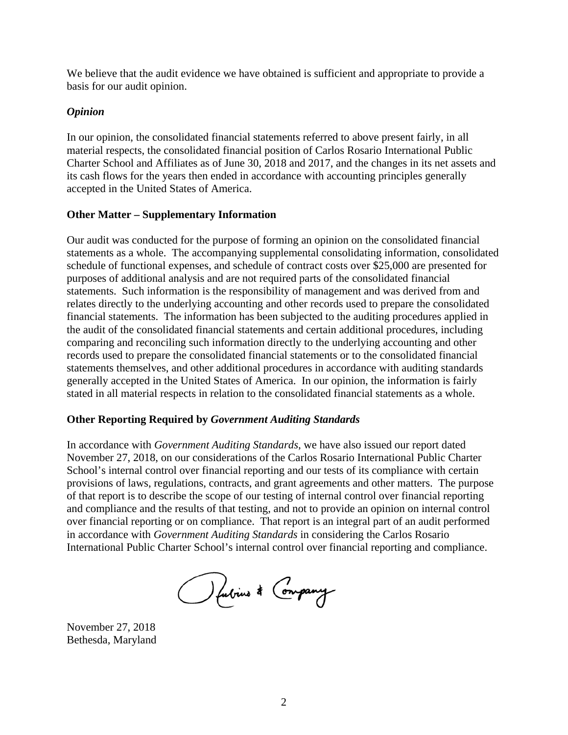We believe that the audit evidence we have obtained is sufficient and appropriate to provide a basis for our audit opinion.

### *Opinion*

In our opinion, the consolidated financial statements referred to above present fairly, in all material respects, the consolidated financial position of Carlos Rosario International Public Charter School and Affiliates as of June 30, 2018 and 2017, and the changes in its net assets and its cash flows for the years then ended in accordance with accounting principles generally accepted in the United States of America.

### **Other Matter – Supplementary Information**

Our audit was conducted for the purpose of forming an opinion on the consolidated financial statements as a whole. The accompanying supplemental consolidating information, consolidated schedule of functional expenses, and schedule of contract costs over \$25,000 are presented for purposes of additional analysis and are not required parts of the consolidated financial statements. Such information is the responsibility of management and was derived from and relates directly to the underlying accounting and other records used to prepare the consolidated financial statements. The information has been subjected to the auditing procedures applied in the audit of the consolidated financial statements and certain additional procedures, including comparing and reconciling such information directly to the underlying accounting and other records used to prepare the consolidated financial statements or to the consolidated financial statements themselves, and other additional procedures in accordance with auditing standards generally accepted in the United States of America. In our opinion, the information is fairly stated in all material respects in relation to the consolidated financial statements as a whole.

### **Other Reporting Required by** *Government Auditing Standards*

In accordance with *Government Auditing Standards*, we have also issued our report dated November 27, 2018, on our considerations of the Carlos Rosario International Public Charter School's internal control over financial reporting and our tests of its compliance with certain provisions of laws, regulations, contracts, and grant agreements and other matters. The purpose of that report is to describe the scope of our testing of internal control over financial reporting and compliance and the results of that testing, and not to provide an opinion on internal control over financial reporting or on compliance. That report is an integral part of an audit performed in accordance with *Government Auditing Standards* in considering the Carlos Rosario International Public Charter School's internal control over financial reporting and compliance.

O fubrius \* Company

November 27, 2018 Bethesda, Maryland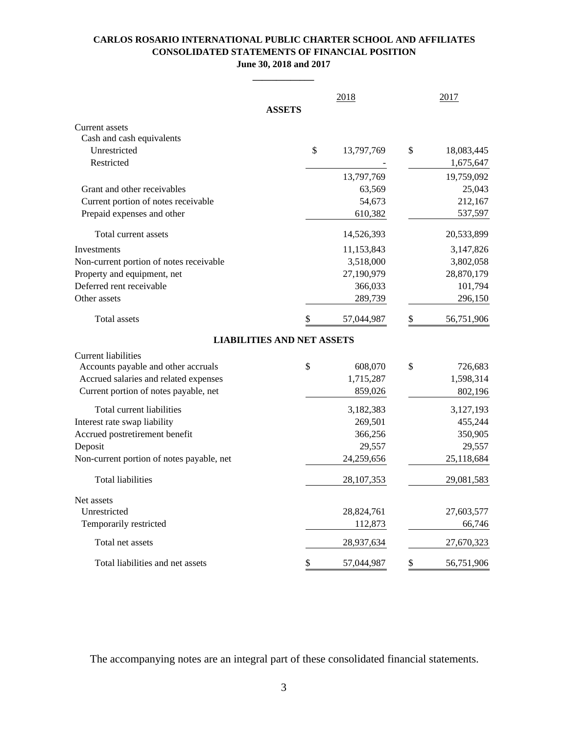#### **CARLOS ROSARIO INTERNATIONAL PUBLIC CHARTER SCHOOL AND AFFILIATES CONSOLIDATED STATEMENTS OF FINANCIAL POSITION June 30, 2018 and 2017**

**\_\_\_\_\_\_\_\_\_\_\_\_\_**

|                                           | <b>ASSETS</b> | 2018         |    | 2017       |
|-------------------------------------------|---------------|--------------|----|------------|
| Current assets                            |               |              |    |            |
| Cash and cash equivalents                 |               |              |    |            |
| Unrestricted                              | \$            | 13,797,769   | \$ | 18,083,445 |
| Restricted                                |               |              |    | 1,675,647  |
|                                           |               | 13,797,769   |    | 19,759,092 |
| Grant and other receivables               |               | 63,569       |    | 25,043     |
| Current portion of notes receivable       |               | 54,673       |    | 212,167    |
| Prepaid expenses and other                |               | 610,382      |    | 537,597    |
| Total current assets                      |               | 14,526,393   |    | 20,533,899 |
| Investments                               |               | 11,153,843   |    | 3,147,826  |
| Non-current portion of notes receivable   |               | 3,518,000    |    | 3,802,058  |
| Property and equipment, net               |               | 27,190,979   |    | 28,870,179 |
| Deferred rent receivable                  |               | 366,033      |    | 101,794    |
| Other assets                              |               | 289,739      |    | 296,150    |
| Total assets                              | \$            | 57,044,987   | \$ | 56,751,906 |
| <b>LIABILITIES AND NET ASSETS</b>         |               |              |    |            |
| Current liabilities                       |               |              |    |            |
| Accounts payable and other accruals       | \$            | 608,070      | \$ | 726,683    |
| Accrued salaries and related expenses     |               | 1,715,287    |    | 1,598,314  |
| Current portion of notes payable, net     |               | 859,026      |    | 802,196    |
| Total current liabilities                 |               | 3,182,383    |    | 3,127,193  |
| Interest rate swap liability              |               | 269,501      |    | 455,244    |
| Accrued postretirement benefit            |               | 366,256      |    | 350,905    |
| Deposit                                   |               | 29,557       |    | 29,557     |
| Non-current portion of notes payable, net |               | 24,259,656   |    | 25,118,684 |
| <b>Total liabilities</b>                  |               | 28, 107, 353 |    | 29,081,583 |
| Net assets                                |               |              |    |            |
| Unrestricted                              |               | 28,824,761   |    | 27,603,577 |
| Temporarily restricted                    |               | 112,873      |    | 66,746     |
| Total net assets                          |               | 28,937,634   |    | 27,670,323 |
| Total liabilities and net assets          | \$            | 57,044,987   | \$ | 56,751,906 |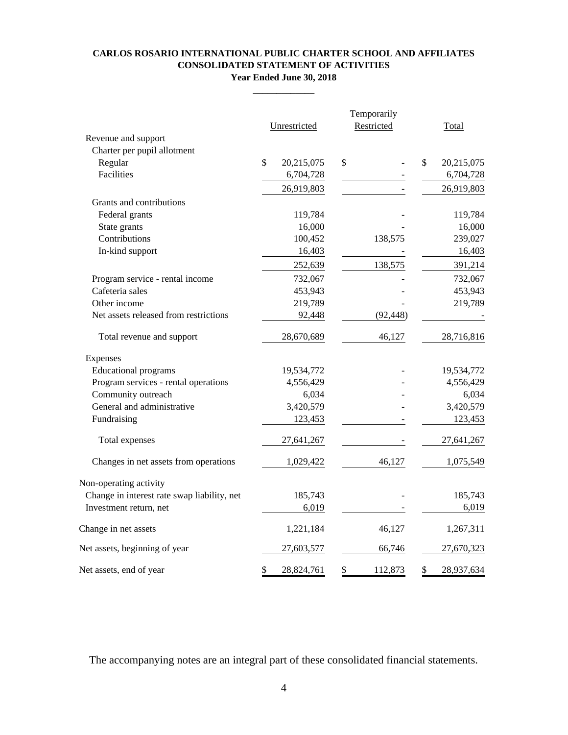#### **CARLOS ROSARIO INTERNATIONAL PUBLIC CHARTER SCHOOL AND AFFILIATES CONSOLIDATED STATEMENT OF ACTIVITIES Year Ended June 30, 2018**

**\_\_\_\_\_\_\_\_\_\_\_\_\_**

|                                             |                  | Temporarily   |              |              |
|---------------------------------------------|------------------|---------------|--------------|--------------|
| Revenue and support                         | Unrestricted     | Restricted    |              | <b>Total</b> |
| Charter per pupil allotment                 |                  |               |              |              |
| Regular                                     | \$<br>20,215,075 | \$            | $\mathbb{S}$ | 20,215,075   |
| Facilities                                  | 6,704,728        |               |              | 6,704,728    |
|                                             | 26,919,803       |               |              | 26,919,803   |
| Grants and contributions                    |                  |               |              |              |
|                                             |                  |               |              |              |
| Federal grants                              | 119,784          |               |              | 119,784      |
| State grants                                | 16,000           |               |              | 16,000       |
| Contributions                               | 100,452          | 138,575       |              | 239,027      |
| In-kind support                             | 16,403           |               |              | 16,403       |
|                                             | 252,639          | 138,575       |              | 391,214      |
| Program service - rental income             | 732,067          |               |              | 732,067      |
| Cafeteria sales                             | 453,943          |               |              | 453,943      |
| Other income                                | 219,789          |               |              | 219,789      |
| Net assets released from restrictions       | 92,448           | (92, 448)     |              |              |
| Total revenue and support                   | 28,670,689       | 46,127        |              | 28,716,816   |
| Expenses                                    |                  |               |              |              |
| <b>Educational</b> programs                 | 19,534,772       |               |              | 19,534,772   |
| Program services - rental operations        | 4,556,429        |               |              | 4,556,429    |
| Community outreach                          | 6,034            |               |              | 6,034        |
| General and administrative                  | 3,420,579        |               |              | 3,420,579    |
| Fundraising                                 | 123,453          |               |              | 123,453      |
| Total expenses                              | 27,641,267       |               |              | 27,641,267   |
| Changes in net assets from operations       | 1,029,422        | 46,127        |              | 1,075,549    |
| Non-operating activity                      |                  |               |              |              |
| Change in interest rate swap liability, net | 185,743          |               |              | 185,743      |
| Investment return, net                      | 6,019            |               |              | 6,019        |
| Change in net assets                        | 1,221,184        | 46,127        |              | 1,267,311    |
| Net assets, beginning of year               | 27,603,577       | 66,746        |              | 27,670,323   |
| Net assets, end of year                     | \$<br>28,824,761 | \$<br>112,873 | \$           | 28,937,634   |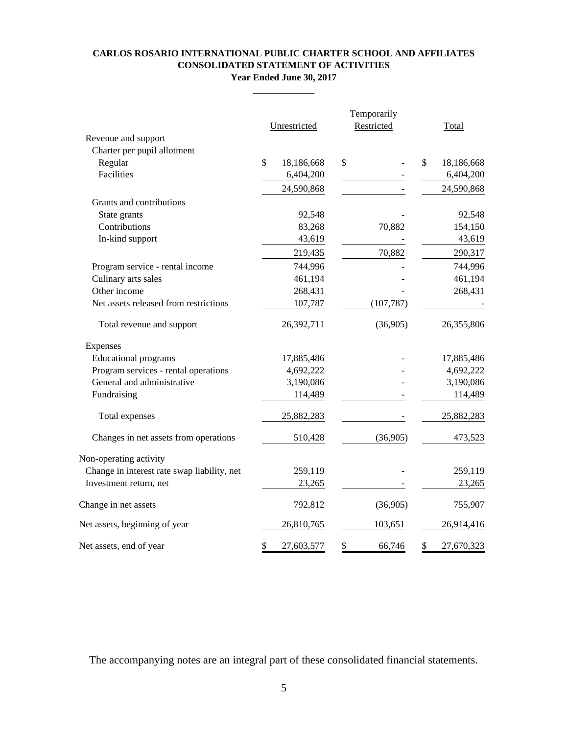#### **CARLOS ROSARIO INTERNATIONAL PUBLIC CHARTER SCHOOL AND AFFILIATES CONSOLIDATED STATEMENT OF ACTIVITIES Year Ended June 30, 2017**

**\_\_\_\_\_\_\_\_\_\_\_\_\_**

|                                             |               | Temporarily  |    |            |                  |
|---------------------------------------------|---------------|--------------|----|------------|------------------|
|                                             |               | Unrestricted |    | Restricted | Total            |
| Revenue and support                         |               |              |    |            |                  |
| Charter per pupil allotment                 |               |              |    |            |                  |
| Regular<br>Facilities                       | $\mathcal{S}$ | 18,186,668   | \$ |            | \$<br>18,186,668 |
|                                             |               | 6,404,200    |    |            | 6,404,200        |
|                                             |               | 24,590,868   |    |            | 24,590,868       |
| Grants and contributions                    |               |              |    |            |                  |
| State grants                                |               | 92,548       |    |            | 92,548           |
| Contributions                               |               | 83,268       |    | 70,882     | 154,150          |
| In-kind support                             |               | 43,619       |    |            | 43,619           |
|                                             |               | 219,435      |    | 70,882     | 290,317          |
| Program service - rental income             |               | 744,996      |    |            | 744,996          |
| Culinary arts sales                         |               | 461,194      |    |            | 461,194          |
| Other income                                |               | 268,431      |    |            | 268,431          |
| Net assets released from restrictions       |               | 107,787      |    | (107, 787) |                  |
| Total revenue and support                   |               | 26,392,711   |    | (36,905)   | 26,355,806       |
| Expenses                                    |               |              |    |            |                  |
| <b>Educational</b> programs                 |               | 17,885,486   |    |            | 17,885,486       |
| Program services - rental operations        |               | 4,692,222    |    |            | 4,692,222        |
| General and administrative                  |               | 3,190,086    |    |            | 3,190,086        |
| Fundraising                                 |               | 114,489      |    |            | 114,489          |
| Total expenses                              |               | 25,882,283   |    |            | 25,882,283       |
| Changes in net assets from operations       |               | 510,428      |    | (36,905)   | 473,523          |
| Non-operating activity                      |               |              |    |            |                  |
| Change in interest rate swap liability, net |               | 259,119      |    |            | 259,119          |
| Investment return, net                      |               | 23,265       |    |            | 23,265           |
| Change in net assets                        |               | 792,812      |    | (36,905)   | 755,907          |
| Net assets, beginning of year               |               | 26,810,765   |    | 103,651    | 26,914,416       |
| Net assets, end of year                     | \$            | 27,603,577   | \$ | 66,746     | \$<br>27,670,323 |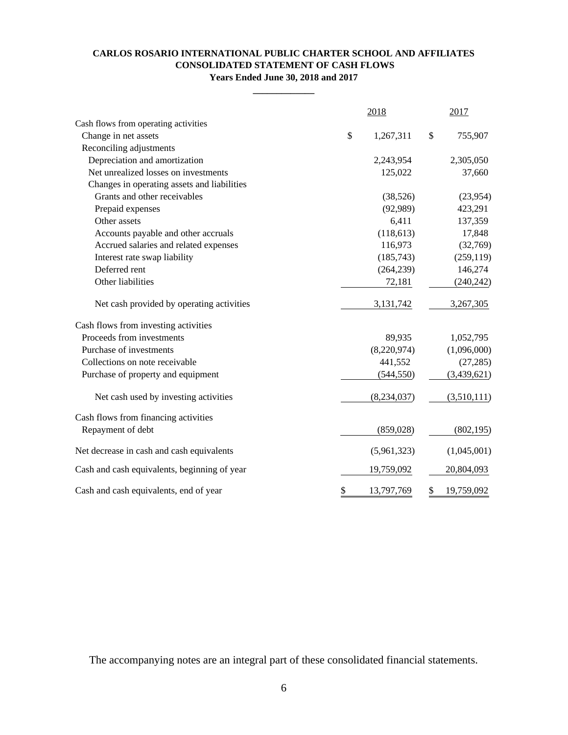#### **CONSOLIDATED STATEMENT OF CASH FLOWS Years Ended June 30, 2018 and 2017 CARLOS ROSARIO INTERNATIONAL PUBLIC CHARTER SCHOOL AND AFFILIATES**

**\_\_\_\_\_\_\_\_\_\_\_\_\_**

|                                              |      | 2018        | 2017             |
|----------------------------------------------|------|-------------|------------------|
| Cash flows from operating activities         |      |             |                  |
| Change in net assets                         | $\$$ | 1,267,311   | \$<br>755,907    |
| Reconciling adjustments                      |      |             |                  |
| Depreciation and amortization                |      | 2,243,954   | 2,305,050        |
| Net unrealized losses on investments         |      | 125,022     | 37,660           |
| Changes in operating assets and liabilities  |      |             |                  |
| Grants and other receivables                 |      | (38,526)    | (23,954)         |
| Prepaid expenses                             |      | (92, 989)   | 423,291          |
| Other assets                                 |      | 6,411       | 137,359          |
| Accounts payable and other accruals          |      | (118, 613)  | 17,848           |
| Accrued salaries and related expenses        |      | 116,973     | (32,769)         |
| Interest rate swap liability                 |      | (185,743)   | (259, 119)       |
| Deferred rent                                |      | (264, 239)  | 146,274          |
| Other liabilities                            |      | 72,181      | (240, 242)       |
| Net cash provided by operating activities    |      | 3,131,742   | 3,267,305        |
| Cash flows from investing activities         |      |             |                  |
| Proceeds from investments                    |      | 89,935      | 1,052,795        |
| Purchase of investments                      |      | (8,220,974) | (1,096,000)      |
| Collections on note receivable               |      | 441,552     | (27, 285)        |
| Purchase of property and equipment           |      | (544, 550)  | (3,439,621)      |
| Net cash used by investing activities        |      | (8,234,037) | (3,510,111)      |
| Cash flows from financing activities         |      |             |                  |
| Repayment of debt                            |      | (859, 028)  | (802, 195)       |
| Net decrease in cash and cash equivalents    |      | (5,961,323) | (1,045,001)      |
| Cash and cash equivalents, beginning of year |      | 19,759,092  | 20,804,093       |
| Cash and cash equivalents, end of year       | \$   | 13,797,769  | \$<br>19,759,092 |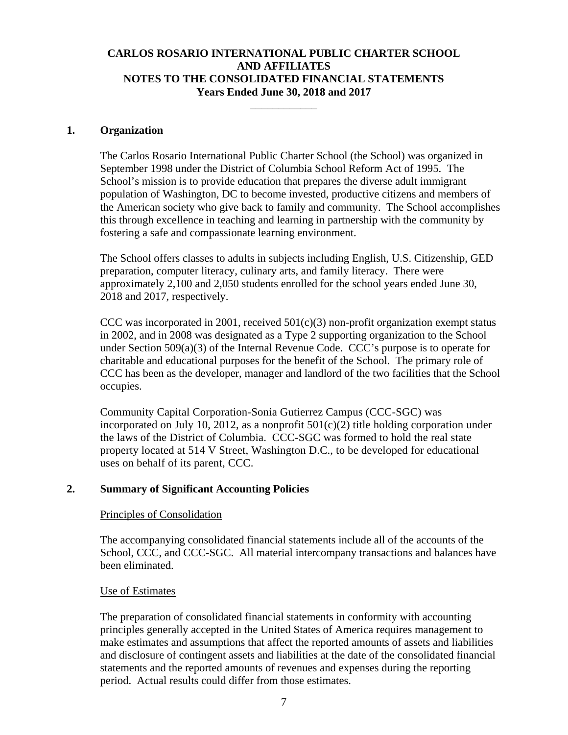\_\_\_\_\_\_\_\_\_\_\_\_

#### **1. Organization**

The Carlos Rosario International Public Charter School (the School) was organized in September 1998 under the District of Columbia School Reform Act of 1995. The School's mission is to provide education that prepares the diverse adult immigrant population of Washington, DC to become invested, productive citizens and members of the American society who give back to family and community. The School accomplishes this through excellence in teaching and learning in partnership with the community by fostering a safe and compassionate learning environment.

The School offers classes to adults in subjects including English, U.S. Citizenship, GED preparation, computer literacy, culinary arts, and family literacy. There were approximately 2,100 and 2,050 students enrolled for the school years ended June 30, 2018 and 2017, respectively.

CCC was incorporated in 2001, received  $501(c)(3)$  non-profit organization exempt status in 2002, and in 2008 was designated as a Type 2 supporting organization to the School under Section 509(a)(3) of the Internal Revenue Code. CCC's purpose is to operate for charitable and educational purposes for the benefit of the School. The primary role of CCC has been as the developer, manager and landlord of the two facilities that the School occupies.

Community Capital Corporation-Sonia Gutierrez Campus (CCC-SGC) was incorporated on July 10, 2012, as a nonprofit  $501(c)(2)$  title holding corporation under the laws of the District of Columbia. CCC-SGC was formed to hold the real state property located at 514 V Street, Washington D.C., to be developed for educational uses on behalf of its parent, CCC.

### **2. Summary of Significant Accounting Policies**

#### Principles of Consolidation

The accompanying consolidated financial statements include all of the accounts of the School, CCC, and CCC-SGC. All material intercompany transactions and balances have been eliminated.

#### Use of Estimates

The preparation of consolidated financial statements in conformity with accounting principles generally accepted in the United States of America requires management to make estimates and assumptions that affect the reported amounts of assets and liabilities and disclosure of contingent assets and liabilities at the date of the consolidated financial statements and the reported amounts of revenues and expenses during the reporting period. Actual results could differ from those estimates.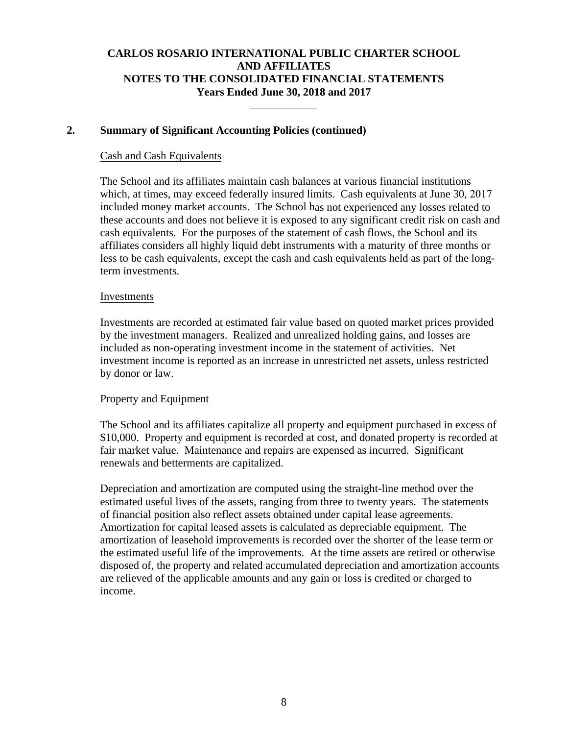\_\_\_\_\_\_\_\_\_\_\_\_

### **2. Summary of Significant Accounting Policies (continued)**

### Cash and Cash Equivalents

The School and its affiliates maintain cash balances at various financial institutions which, at times, may exceed federally insured limits. Cash equivalents at June 30, 2017 included money market accounts. The School has not experienced any losses related to these accounts and does not believe it is exposed to any significant credit risk on cash and cash equivalents. For the purposes of the statement of cash flows, the School and its affiliates considers all highly liquid debt instruments with a maturity of three months or less to be cash equivalents, except the cash and cash equivalents held as part of the longterm investments.

#### Investments

Investments are recorded at estimated fair value based on quoted market prices provided by the investment managers. Realized and unrealized holding gains, and losses are included as non-operating investment income in the statement of activities. Net investment income is reported as an increase in unrestricted net assets, unless restricted by donor or law.

### Property and Equipment

The School and its affiliates capitalize all property and equipment purchased in excess of \$10,000. Property and equipment is recorded at cost, and donated property is recorded at fair market value. Maintenance and repairs are expensed as incurred. Significant renewals and betterments are capitalized.

Depreciation and amortization are computed using the straight-line method over the estimated useful lives of the assets, ranging from three to twenty years. The statements of financial position also reflect assets obtained under capital lease agreements. Amortization for capital leased assets is calculated as depreciable equipment. The amortization of leasehold improvements is recorded over the shorter of the lease term or the estimated useful life of the improvements. At the time assets are retired or otherwise disposed of, the property and related accumulated depreciation and amortization accounts are relieved of the applicable amounts and any gain or loss is credited or charged to income.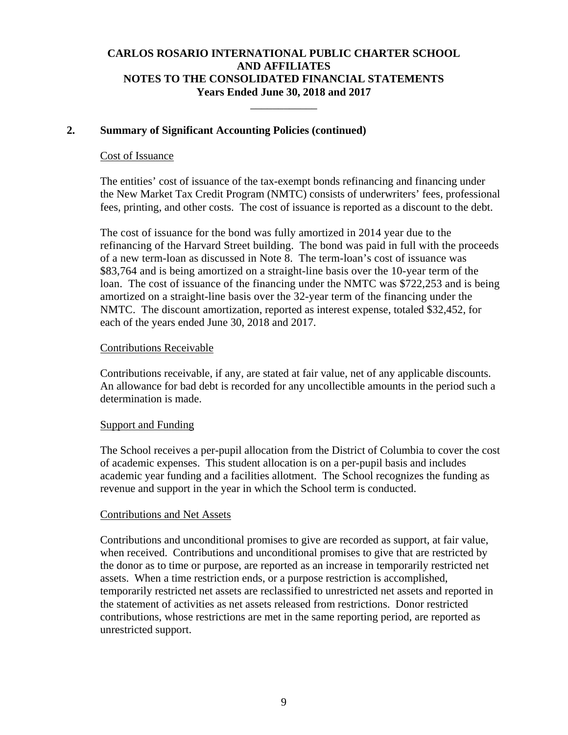\_\_\_\_\_\_\_\_\_\_\_\_

### **2. Summary of Significant Accounting Policies (continued)**

#### Cost of Issuance

The entities' cost of issuance of the tax-exempt bonds refinancing and financing under the New Market Tax Credit Program (NMTC) consists of underwriters' fees, professional fees, printing, and other costs. The cost of issuance is reported as a discount to the debt.

The cost of issuance for the bond was fully amortized in 2014 year due to the refinancing of the Harvard Street building. The bond was paid in full with the proceeds of a new term-loan as discussed in Note 8. The term-loan's cost of issuance was \$83,764 and is being amortized on a straight-line basis over the 10-year term of the loan. The cost of issuance of the financing under the NMTC was \$722,253 and is being amortized on a straight-line basis over the 32-year term of the financing under the NMTC. The discount amortization, reported as interest expense, totaled \$32,452, for each of the years ended June 30, 2018 and 2017.

#### Contributions Receivable

Contributions receivable, if any, are stated at fair value, net of any applicable discounts. An allowance for bad debt is recorded for any uncollectible amounts in the period such a determination is made.

### Support and Funding

The School receives a per-pupil allocation from the District of Columbia to cover the cost of academic expenses. This student allocation is on a per-pupil basis and includes academic year funding and a facilities allotment. The School recognizes the funding as revenue and support in the year in which the School term is conducted.

### Contributions and Net Assets

Contributions and unconditional promises to give are recorded as support, at fair value, when received. Contributions and unconditional promises to give that are restricted by the donor as to time or purpose, are reported as an increase in temporarily restricted net assets. When a time restriction ends, or a purpose restriction is accomplished, temporarily restricted net assets are reclassified to unrestricted net assets and reported in the statement of activities as net assets released from restrictions. Donor restricted contributions, whose restrictions are met in the same reporting period, are reported as unrestricted support.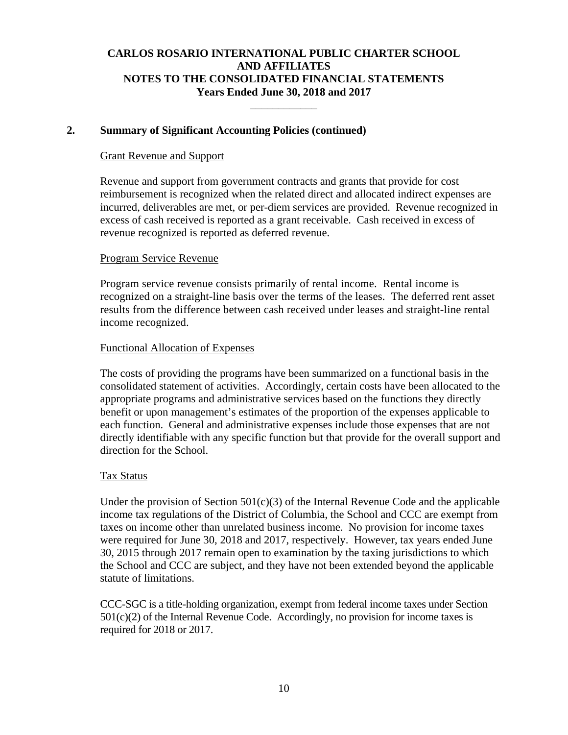\_\_\_\_\_\_\_\_\_\_\_\_

### **2. Summary of Significant Accounting Policies (continued)**

#### Grant Revenue and Support

Revenue and support from government contracts and grants that provide for cost reimbursement is recognized when the related direct and allocated indirect expenses are incurred, deliverables are met, or per-diem services are provided. Revenue recognized in excess of cash received is reported as a grant receivable. Cash received in excess of revenue recognized is reported as deferred revenue.

### Program Service Revenue

Program service revenue consists primarily of rental income. Rental income is recognized on a straight-line basis over the terms of the leases. The deferred rent asset results from the difference between cash received under leases and straight-line rental income recognized.

#### Functional Allocation of Expenses

The costs of providing the programs have been summarized on a functional basis in the consolidated statement of activities. Accordingly, certain costs have been allocated to the appropriate programs and administrative services based on the functions they directly benefit or upon management's estimates of the proportion of the expenses applicable to each function. General and administrative expenses include those expenses that are not directly identifiable with any specific function but that provide for the overall support and direction for the School.

#### Tax Status

Under the provision of Section  $501(c)(3)$  of the Internal Revenue Code and the applicable income tax regulations of the District of Columbia, the School and CCC are exempt from taxes on income other than unrelated business income. No provision for income taxes were required for June 30, 2018 and 2017, respectively. However, tax years ended June 30, 2015 through 2017 remain open to examination by the taxing jurisdictions to which the School and CCC are subject, and they have not been extended beyond the applicable statute of limitations.

CCC-SGC is a title-holding organization, exempt from federal income taxes under Section  $501(c)(2)$  of the Internal Revenue Code. Accordingly, no provision for income taxes is required for 2018 or 2017.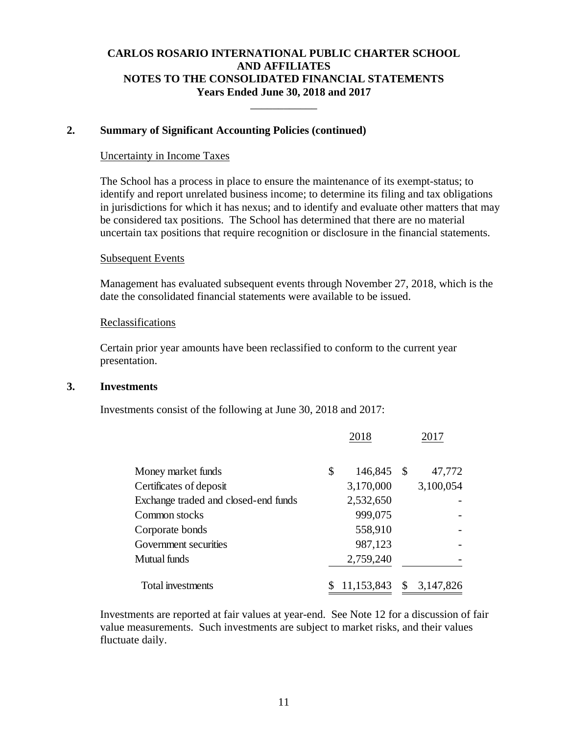\_\_\_\_\_\_\_\_\_\_\_\_

#### **2. Summary of Significant Accounting Policies (continued)**

#### Uncertainty in Income Taxes

The School has a process in place to ensure the maintenance of its exempt-status; to identify and report unrelated business income; to determine its filing and tax obligations in jurisdictions for which it has nexus; and to identify and evaluate other matters that may be considered tax positions. The School has determined that there are no material uncertain tax positions that require recognition or disclosure in the financial statements.

#### Subsequent Events

Management has evaluated subsequent events through November 27, 2018, which is the date the consolidated financial statements were available to be issued.

#### Reclassifications

Certain prior year amounts have been reclassified to conform to the current year presentation.

#### **3. Investments**

Investments consist of the following at June 30, 2018 and 2017:

|                                      | 2018          | 2017            |
|--------------------------------------|---------------|-----------------|
| Money market funds                   | \$<br>146,845 | \$<br>47,772    |
| Certificates of deposit              | 3,170,000     | 3,100,054       |
| Exchange traded and closed-end funds | 2,532,650     |                 |
| Common stocks                        | 999,075       |                 |
| Corporate bonds                      | 558,910       |                 |
| Government securities                | 987,123       |                 |
| Mutual funds                         | 2,759,240     |                 |
| Total investments                    | 11,153,843    | \$<br>3,147,826 |

Investments are reported at fair values at year-end. See Note 12 for a discussion of fair value measurements. Such investments are subject to market risks, and their values fluctuate daily.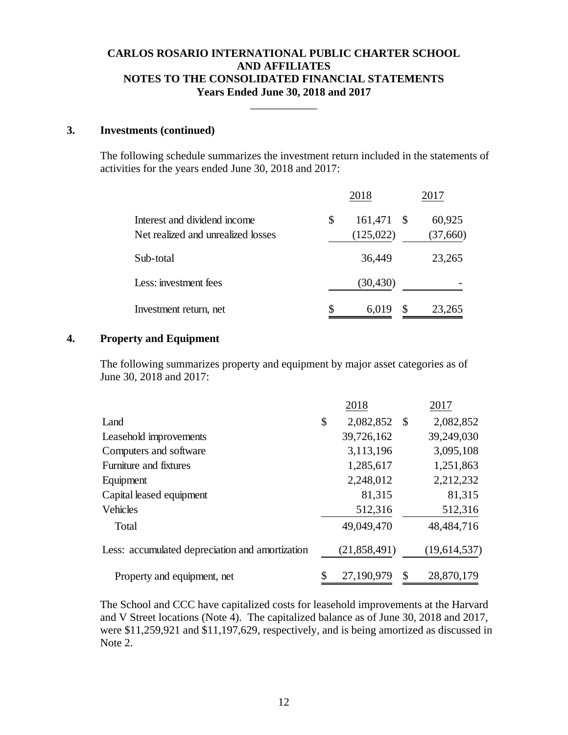\_\_\_\_\_\_\_\_\_\_\_\_

#### **3. Investments (continued)**

The following schedule summarizes the investment return included in the statements of activities for the years ended June 30, 2018 and 2017:

|                                                                    |    | 2018                  | 2017                |
|--------------------------------------------------------------------|----|-----------------------|---------------------|
| Interest and dividend income<br>Net realized and unrealized losses | \$ | 161,471<br>(125, 022) | 60,925<br>(37, 660) |
| Sub-total                                                          |    | 36,449                | 23,265              |
| Less: investment fees                                              |    | (30, 430)             |                     |
| Investment return, net                                             | S  | S<br>6,019            | 23,265              |

#### **4. Property and Equipment**

The following summarizes property and equipment by major asset categories as of June 30, 2018 and 2017:

|                                                 | 2018             |              | 2017         |
|-------------------------------------------------|------------------|--------------|--------------|
| Land                                            | \$<br>2,082,852  | $\mathbb{S}$ | 2,082,852    |
| Leasehold improvements                          | 39,726,162       |              | 39,249,030   |
| Computers and software                          | 3,113,196        |              | 3,095,108    |
| Furniture and fixtures                          | 1,285,617        |              | 1,251,863    |
| Equipment                                       | 2,248,012        |              | 2,212,232    |
| Capital leased equipment                        | 81,315           |              | 81,315       |
| <b>Vehicles</b>                                 | 512,316          |              | 512,316      |
| Total                                           | 49,049,470       |              | 48,484,716   |
| Less: accumulated depreciation and amortization | (21, 858, 491)   |              | (19,614,537) |
| Property and equipment, net                     | \$<br>27,190,979 | \$           | 28,870,179   |

The School and CCC have capitalized costs for leasehold improvements at the Harvard and V Street locations (Note 4). The capitalized balance as of June 30, 2018 and 2017, were \$11,259,921 and \$11,197,629, respectively, and is being amortized as discussed in Note 2.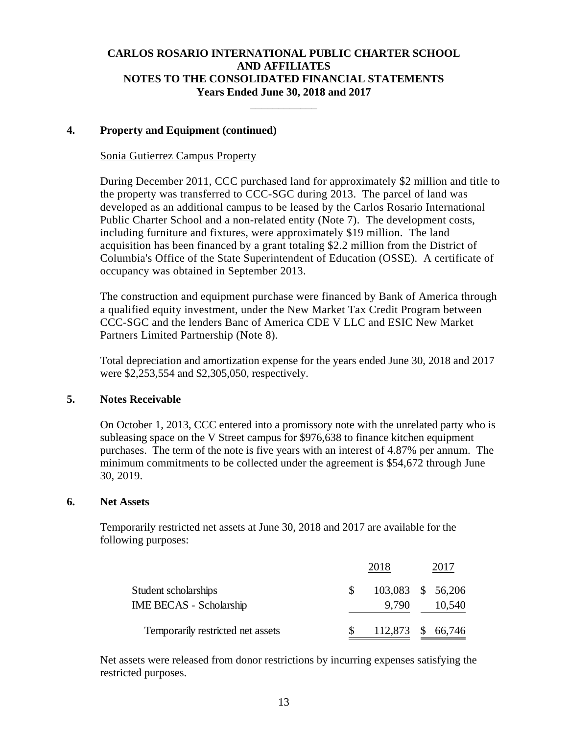\_\_\_\_\_\_\_\_\_\_\_\_

### **4. Property and Equipment (continued)**

### Sonia Gutierrez Campus Property

During December 2011, CCC purchased land for approximately \$2 million and title to the property was transferred to CCC-SGC during 2013. The parcel of land was developed as an additional campus to be leased by the Carlos Rosario International Public Charter School and a non-related entity (Note 7). The development costs, including furniture and fixtures, were approximately \$19 million. The land acquisition has been financed by a grant totaling \$2.2 million from the District of Columbia's Office of the State Superintendent of Education (OSSE). A certificate of occupancy was obtained in September 2013.

The construction and equipment purchase were financed by Bank of America through a qualified equity investment, under the New Market Tax Credit Program between CCC-SGC and the lenders Banc of America CDE V LLC and ESIC New Market Partners Limited Partnership (Note 8).

Total depreciation and amortization expense for the years ended June 30, 2018 and 2017 were \$2,253,554 and \$2,305,050, respectively.

### **5. Notes Receivable**

 On October 1, 2013, CCC entered into a promissory note with the unrelated party who is subleasing space on the V Street campus for \$976,638 to finance kitchen equipment purchases. The term of the note is five years with an interest of 4.87% per annum. The minimum commitments to be collected under the agreement is \$54,672 through June 30, 2019.

#### **6. Net Assets**

Temporarily restricted net assets at June 30, 2018 and 2017 are available for the following purposes:

|                                                        | 2018                       | 2017   |
|--------------------------------------------------------|----------------------------|--------|
| Student scholarships<br><b>IME BECAS - Scholarship</b> | 103,083 \$ 56,206<br>9.790 | 10,540 |
| Temporarily restricted net assets                      | 112,873 \$ 66,746          |        |

Net assets were released from donor restrictions by incurring expenses satisfying the restricted purposes.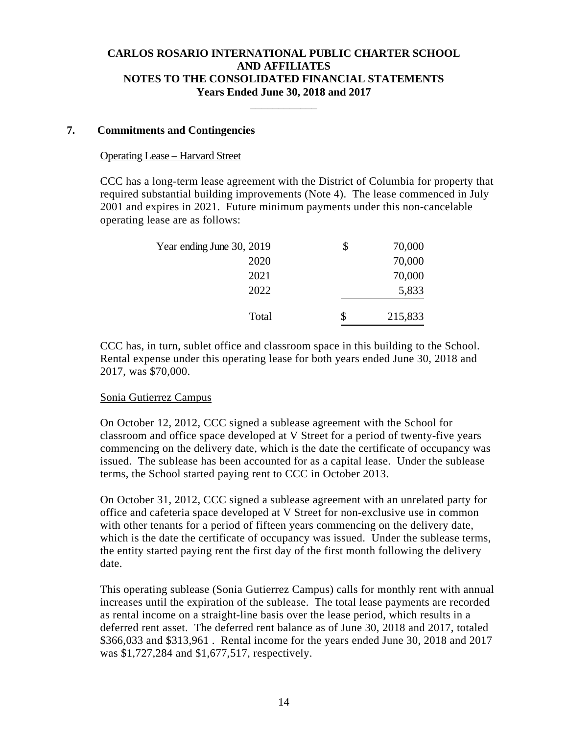\_\_\_\_\_\_\_\_\_\_\_\_

### **7. Commitments and Contingencies**

#### Operating Lease – Harvard Street

CCC has a long-term lease agreement with the District of Columbia for property that required substantial building improvements (Note 4). The lease commenced in July 2001 and expires in 2021. Future minimum payments under this non-cancelable operating lease are as follows:

| Year ending June 30, 2019 | \$ | 70,000  |
|---------------------------|----|---------|
| 2020                      |    | 70,000  |
| 2021                      |    | 70,000  |
| 2022                      |    | 5,833   |
|                           |    |         |
| Total                     | S  | 215,833 |

CCC has, in turn, sublet office and classroom space in this building to the School. Rental expense under this operating lease for both years ended June 30, 2018 and 2017, was \$70,000.

#### Sonia Gutierrez Campus

On October 12, 2012, CCC signed a sublease agreement with the School for classroom and office space developed at V Street for a period of twenty-five years commencing on the delivery date, which is the date the certificate of occupancy was issued. The sublease has been accounted for as a capital lease. Under the sublease terms, the School started paying rent to CCC in October 2013.

On October 31, 2012, CCC signed a sublease agreement with an unrelated party for office and cafeteria space developed at V Street for non-exclusive use in common with other tenants for a period of fifteen years commencing on the delivery date, which is the date the certificate of occupancy was issued. Under the sublease terms, the entity started paying rent the first day of the first month following the delivery date.

This operating sublease (Sonia Gutierrez Campus) calls for monthly rent with annual increases until the expiration of the sublease. The total lease payments are recorded as rental income on a straight-line basis over the lease period, which results in a deferred rent asset. The deferred rent balance as of June 30, 2018 and 2017, totaled \$366,033 and \$313,961 . Rental income for the years ended June 30, 2018 and 2017 was \$1,727,284 and \$1,677,517, respectively.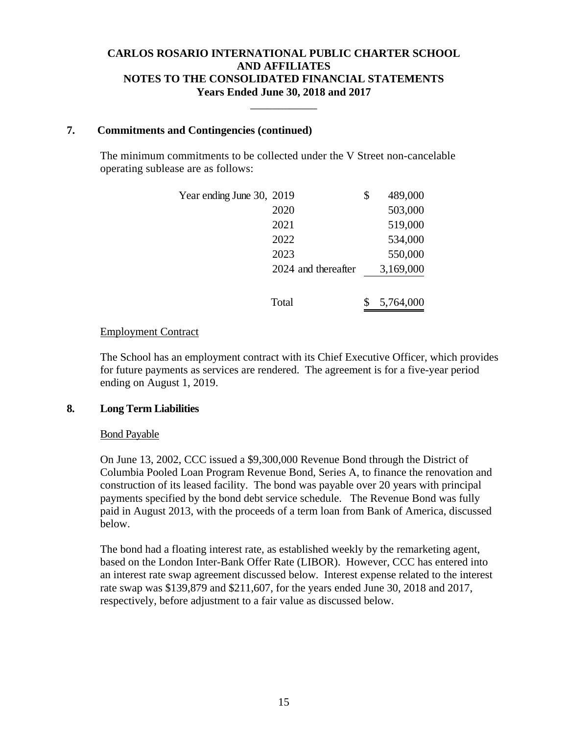\_\_\_\_\_\_\_\_\_\_\_\_

### **7. Commitments and Contingencies (continued)**

The minimum commitments to be collected under the V Street non-cancelable operating sublease are as follows:

| Year ending June 30, 2019 |                     | \$<br>489,000 |
|---------------------------|---------------------|---------------|
|                           | 2020                | 503,000       |
|                           | 2021                | 519,000       |
|                           | 2022                | 534,000       |
|                           | 2023                | 550,000       |
|                           | 2024 and thereafter | 3,169,000     |
|                           | Total               | 5,764,000     |

### Employment Contract

The School has an employment contract with its Chief Executive Officer, which provides for future payments as services are rendered. The agreement is for a five-year period ending on August 1, 2019.

### **8. Long Term Liabilities**

### Bond Payable

 On June 13, 2002, CCC issued a \$9,300,000 Revenue Bond through the District of Columbia Pooled Loan Program Revenue Bond, Series A, to finance the renovation and construction of its leased facility. The bond was payable over 20 years with principal payments specified by the bond debt service schedule. The Revenue Bond was fully paid in August 2013, with the proceeds of a term loan from Bank of America, discussed below.

The bond had a floating interest rate, as established weekly by the remarketing agent, based on the London Inter-Bank Offer Rate (LIBOR). However, CCC has entered into an interest rate swap agreement discussed below. Interest expense related to the interest rate swap was \$139,879 and \$211,607, for the years ended June 30, 2018 and 2017, respectively, before adjustment to a fair value as discussed below.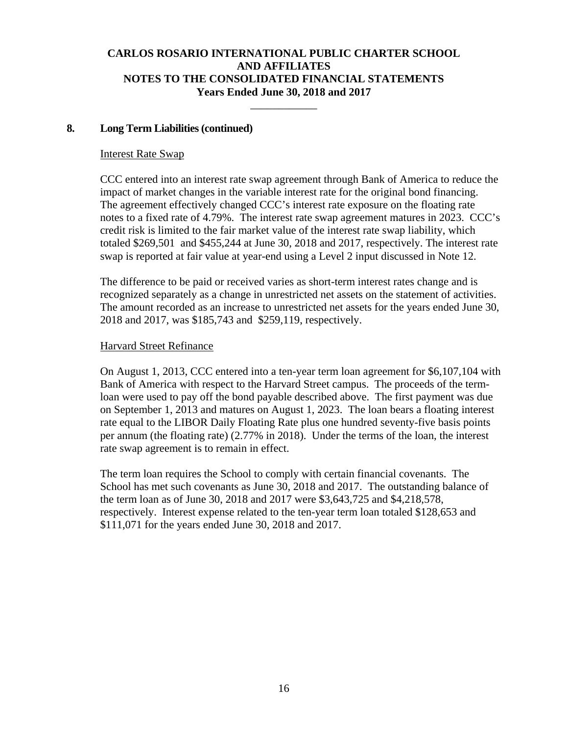\_\_\_\_\_\_\_\_\_\_\_\_

### **8. Long Term Liabilities (continued)**

#### Interest Rate Swap

CCC entered into an interest rate swap agreement through Bank of America to reduce the impact of market changes in the variable interest rate for the original bond financing. The agreement effectively changed CCC's interest rate exposure on the floating rate notes to a fixed rate of 4.79%. The interest rate swap agreement matures in 2023. CCC's credit risk is limited to the fair market value of the interest rate swap liability, which totaled \$269,501 and \$455,244 at June 30, 2018 and 2017, respectively. The interest rate swap is reported at fair value at year-end using a Level 2 input discussed in Note 12.

The difference to be paid or received varies as short-term interest rates change and is recognized separately as a change in unrestricted net assets on the statement of activities. The amount recorded as an increase to unrestricted net assets for the years ended June 30, 2018 and 2017, was \$185,743 and \$259,119, respectively.

#### Harvard Street Refinance

 On August 1, 2013, CCC entered into a ten-year term loan agreement for \$6,107,104 with Bank of America with respect to the Harvard Street campus. The proceeds of the termloan were used to pay off the bond payable described above. The first payment was due on September 1, 2013 and matures on August 1, 2023. The loan bears a floating interest rate equal to the LIBOR Daily Floating Rate plus one hundred seventy-five basis points per annum (the floating rate) (2.77% in 2018). Under the terms of the loan, the interest rate swap agreement is to remain in effect.

 The term loan requires the School to comply with certain financial covenants. The School has met such covenants as June 30, 2018 and 2017. The outstanding balance of the term loan as of June 30, 2018 and 2017 were \$3,643,725 and \$4,218,578, respectively. Interest expense related to the ten-year term loan totaled \$128,653 and \$111,071 for the years ended June 30, 2018 and 2017.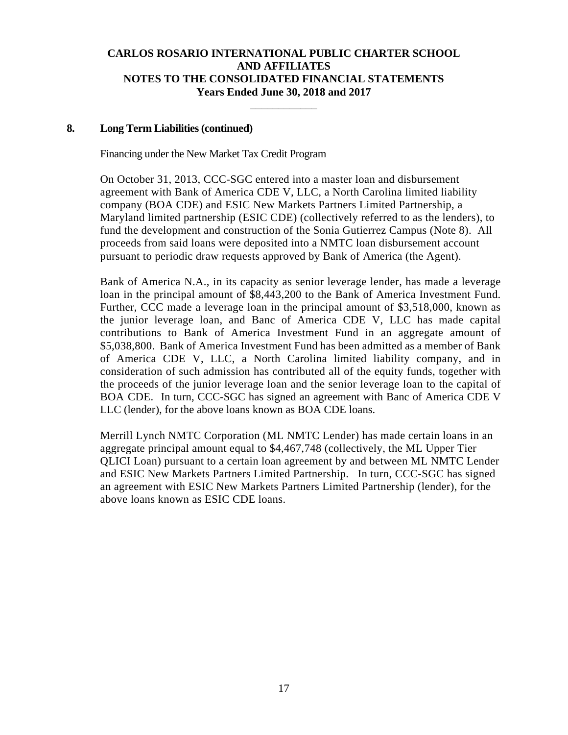\_\_\_\_\_\_\_\_\_\_\_\_

#### **8. Long Term Liabilities (continued)**

#### Financing under the New Market Tax Credit Program

 On October 31, 2013, CCC-SGC entered into a master loan and disbursement agreement with Bank of America CDE V, LLC, a North Carolina limited liability company (BOA CDE) and ESIC New Markets Partners Limited Partnership, a Maryland limited partnership (ESIC CDE) (collectively referred to as the lenders), to fund the development and construction of the Sonia Gutierrez Campus (Note 8). All proceeds from said loans were deposited into a NMTC loan disbursement account pursuant to periodic draw requests approved by Bank of America (the Agent).

Bank of America N.A., in its capacity as senior leverage lender, has made a leverage loan in the principal amount of \$8,443,200 to the Bank of America Investment Fund. Further, CCC made a leverage loan in the principal amount of \$3,518,000, known as the junior leverage loan, and Banc of America CDE V, LLC has made capital contributions to Bank of America Investment Fund in an aggregate amount of \$5,038,800. Bank of America Investment Fund has been admitted as a member of Bank of America CDE V, LLC, a North Carolina limited liability company, and in consideration of such admission has contributed all of the equity funds, together with the proceeds of the junior leverage loan and the senior leverage loan to the capital of BOA CDE. In turn, CCC-SGC has signed an agreement with Banc of America CDE V LLC (lender), for the above loans known as BOA CDE loans.

Merrill Lynch NMTC Corporation (ML NMTC Lender) has made certain loans in an aggregate principal amount equal to \$4,467,748 (collectively, the ML Upper Tier QLICI Loan) pursuant to a certain loan agreement by and between ML NMTC Lender and ESIC New Markets Partners Limited Partnership. In turn, CCC-SGC has signed an agreement with ESIC New Markets Partners Limited Partnership (lender), for the above loans known as ESIC CDE loans.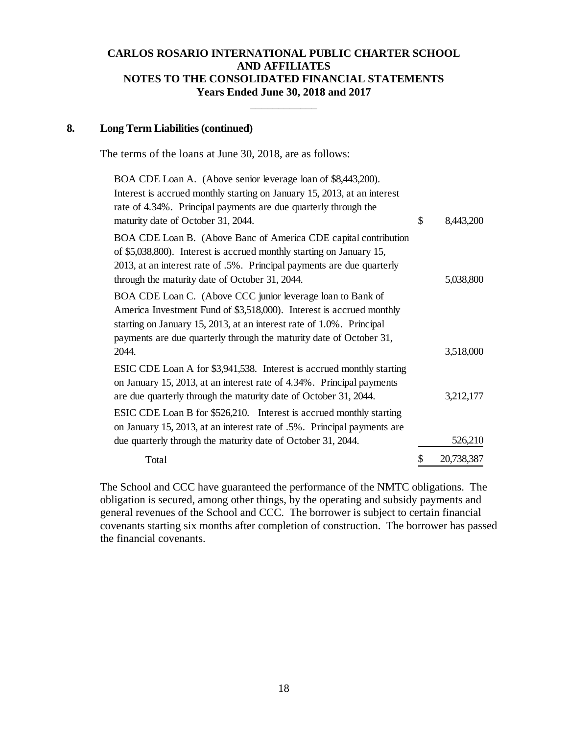\_\_\_\_\_\_\_\_\_\_\_\_

#### **8. Long Term Liabilities (continued)**

The terms of the loans at June 30, 2018, are as follows:

| BOA CDE Loan A. (Above senior leverage loan of \$8,443,200).             |                  |
|--------------------------------------------------------------------------|------------------|
| Interest is accrued monthly starting on January 15, 2013, at an interest |                  |
| rate of 4.34%. Principal payments are due quarterly through the          |                  |
| maturity date of October 31, 2044.                                       | \$<br>8,443,200  |
| BOA CDE Loan B. (Above Banc of America CDE capital contribution          |                  |
| of \$5,038,800). Interest is accrued monthly starting on January 15,     |                  |
| 2013, at an interest rate of .5%. Principal payments are due quarterly   |                  |
| through the maturity date of October 31, 2044.                           | 5,038,800        |
| BOA CDE Loan C. (Above CCC junior leverage loan to Bank of               |                  |
| America Investment Fund of \$3,518,000). Interest is accrued monthly     |                  |
| starting on January 15, 2013, at an interest rate of 1.0%. Principal     |                  |
| payments are due quarterly through the maturity date of October 31,      |                  |
| 2044.                                                                    | 3,518,000        |
| ESIC CDE Loan A for \$3,941,538. Interest is accrued monthly starting    |                  |
| on January 15, 2013, at an interest rate of 4.34%. Principal payments    |                  |
| are due quarterly through the maturity date of October 31, 2044.         | 3,212,177        |
| ESIC CDE Loan B for \$526,210. Interest is accrued monthly starting      |                  |
| on January 15, 2013, at an interest rate of .5%. Principal payments are  |                  |
| due quarterly through the maturity date of October 31, 2044.             | 526,210          |
| Total                                                                    | \$<br>20,738,387 |

The School and CCC have guaranteed the performance of the NMTC obligations. The obligation is secured, among other things, by the operating and subsidy payments and general revenues of the School and CCC. The borrower is subject to certain financial covenants starting six months after completion of construction. The borrower has passed the financial covenants.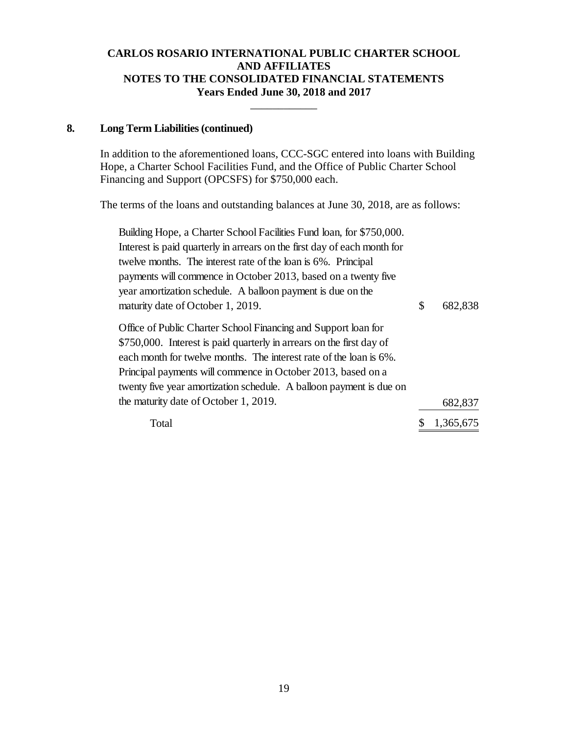\_\_\_\_\_\_\_\_\_\_\_\_

### **8. Long Term Liabilities (continued)**

In addition to the aforementioned loans, CCC-SGC entered into loans with Building Hope, a Charter School Facilities Fund, and the Office of Public Charter School Financing and Support (OPCSFS) for \$750,000 each.

The terms of the loans and outstanding balances at June 30, 2018, are as follows:

| Building Hope, a Charter School Facilities Fund loan, for \$750,000.                                                                                                                                                                                                                                                                                |               |
|-----------------------------------------------------------------------------------------------------------------------------------------------------------------------------------------------------------------------------------------------------------------------------------------------------------------------------------------------------|---------------|
| Interest is paid quarterly in arrears on the first day of each month for                                                                                                                                                                                                                                                                            |               |
| twelve months. The interest rate of the loan is 6%. Principal                                                                                                                                                                                                                                                                                       |               |
| payments will commence in October 2013, based on a twenty five                                                                                                                                                                                                                                                                                      |               |
| year amortization schedule. A balloon payment is due on the                                                                                                                                                                                                                                                                                         |               |
| maturity date of October 1, 2019.                                                                                                                                                                                                                                                                                                                   | \$<br>682,838 |
| Office of Public Charter School Financing and Support loan for<br>\$750,000. Interest is paid quarterly in arrears on the first day of<br>each month for twelve months. The interest rate of the loan is 6%.<br>Principal payments will commence in October 2013, based on a<br>twenty five year amortization schedule. A balloon payment is due on |               |
| the maturity date of October 1, 2019.                                                                                                                                                                                                                                                                                                               | 682,837       |
| Total                                                                                                                                                                                                                                                                                                                                               | 1,365,675     |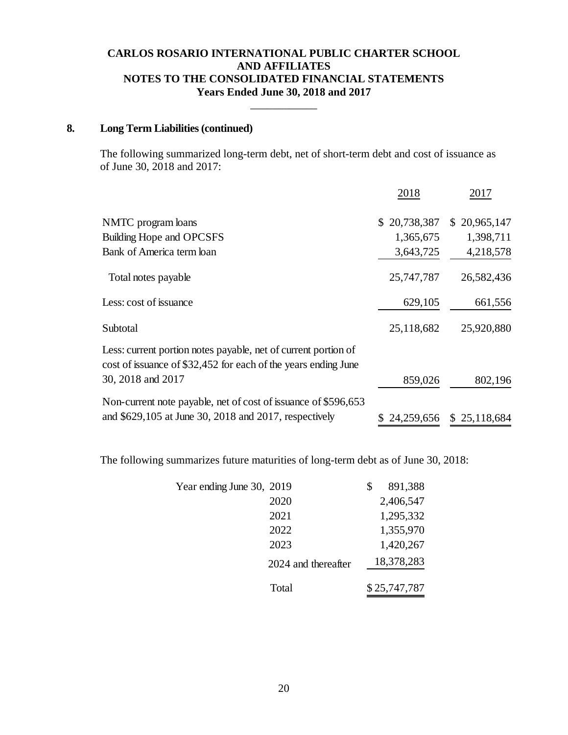\_\_\_\_\_\_\_\_\_\_\_\_

### **8. Long Term Liabilities (continued)**

The following summarized long-term debt, net of short-term debt and cost of issuance as of June 30, 2018 and 2017:

|                                                                                                                                  | 2018             | 2017         |
|----------------------------------------------------------------------------------------------------------------------------------|------------------|--------------|
| NMTC program loans                                                                                                               | 20,738,387<br>S. | \$20,965,147 |
| Building Hope and OPCSFS                                                                                                         | 1,365,675        | 1,398,711    |
| Bank of America term loan                                                                                                        | 3,643,725        | 4,218,578    |
| Total notes payable                                                                                                              | 25,747,787       | 26,582,436   |
| Less: cost of issuance                                                                                                           | 629,105          | 661,556      |
| Subtotal                                                                                                                         | 25,118,682       | 25,920,880   |
| Less: current portion notes payable, net of current portion of<br>cost of issuance of \$32,452 for each of the years ending June |                  |              |
| 30, 2018 and 2017                                                                                                                | 859,026          | 802,196      |
| Non-current note payable, net of cost of issuance of \$596,653                                                                   |                  |              |
| and \$629,105 at June 30, 2018 and 2017, respectively                                                                            | 24,259,656       | \$25,118,684 |

The following summarizes future maturities of long-term debt as of June 30, 2018:

| Year ending June 30, 2019 |                     | 891,388      |
|---------------------------|---------------------|--------------|
|                           | 2020                | 2,406,547    |
|                           | 2021                | 1,295,332    |
|                           | 2022                | 1,355,970    |
|                           | 2023                | 1,420,267    |
|                           | 2024 and thereafter | 18,378,283   |
|                           | Total               | \$25,747,787 |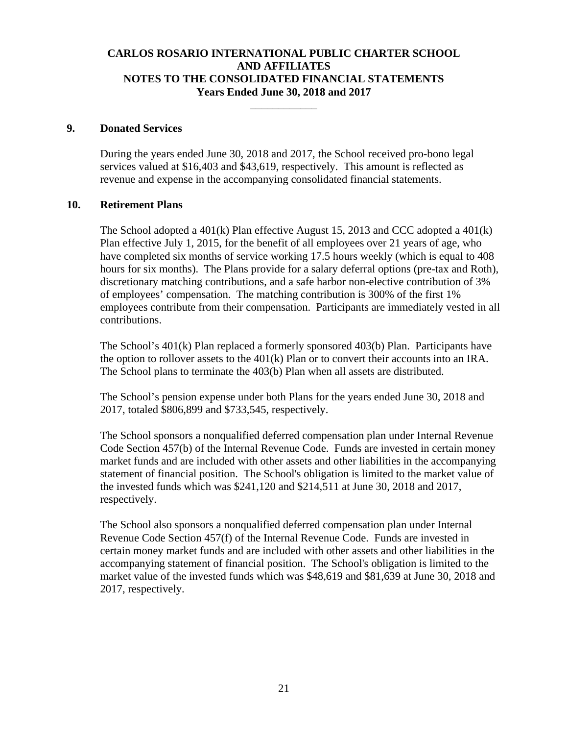\_\_\_\_\_\_\_\_\_\_\_\_

#### **9. Donated Services**

During the years ended June 30, 2018 and 2017, the School received pro-bono legal services valued at \$16,403 and \$43,619, respectively. This amount is reflected as revenue and expense in the accompanying consolidated financial statements.

#### **10. Retirement Plans**

The School adopted a  $401(k)$  Plan effective August 15, 2013 and CCC adopted a  $401(k)$ Plan effective July 1, 2015, for the benefit of all employees over 21 years of age, who have completed six months of service working 17.5 hours weekly (which is equal to 408 hours for six months). The Plans provide for a salary deferral options (pre-tax and Roth), discretionary matching contributions, and a safe harbor non-elective contribution of 3% of employees' compensation. The matching contribution is 300% of the first 1% employees contribute from their compensation. Participants are immediately vested in all contributions.

The School's 401(k) Plan replaced a formerly sponsored 403(b) Plan. Participants have the option to rollover assets to the  $401(k)$  Plan or to convert their accounts into an IRA. The School plans to terminate the 403(b) Plan when all assets are distributed.

The School's pension expense under both Plans for the years ended June 30, 2018 and 2017, totaled \$806,899 and \$733,545, respectively.

The School sponsors a nonqualified deferred compensation plan under Internal Revenue Code Section 457(b) of the Internal Revenue Code. Funds are invested in certain money market funds and are included with other assets and other liabilities in the accompanying statement of financial position. The School's obligation is limited to the market value of the invested funds which was \$241,120 and \$214,511 at June 30, 2018 and 2017, respectively.

The School also sponsors a nonqualified deferred compensation plan under Internal Revenue Code Section 457(f) of the Internal Revenue Code. Funds are invested in certain money market funds and are included with other assets and other liabilities in the accompanying statement of financial position. The School's obligation is limited to the market value of the invested funds which was \$48,619 and \$81,639 at June 30, 2018 and 2017, respectively.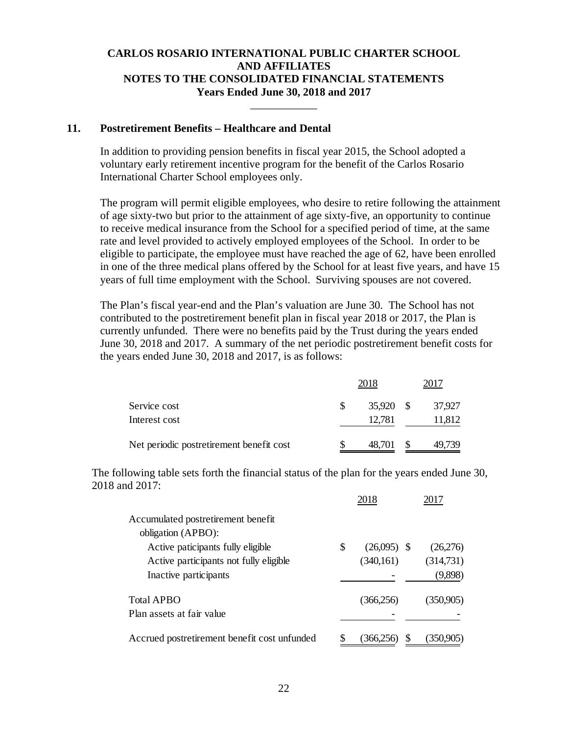\_\_\_\_\_\_\_\_\_\_\_\_

#### **11. Postretirement Benefits – Healthcare and Dental**

In addition to providing pension benefits in fiscal year 2015, the School adopted a voluntary early retirement incentive program for the benefit of the Carlos Rosario International Charter School employees only.

The program will permit eligible employees, who desire to retire following the attainment of age sixty-two but prior to the attainment of age sixty-five, an opportunity to continue to receive medical insurance from the School for a specified period of time, at the same rate and level provided to actively employed employees of the School. In order to be eligible to participate, the employee must have reached the age of 62, have been enrolled in one of the three medical plans offered by the School for at least five years, and have 15 years of full time employment with the School. Surviving spouses are not covered.

The Plan's fiscal year-end and the Plan's valuation are June 30. The School has not contributed to the postretirement benefit plan in fiscal year 2018 or 2017, the Plan is currently unfunded. There were no benefits paid by the Trust during the years ended June 30, 2018 and 2017. A summary of the net periodic postretirement benefit costs for the years ended June 30, 2018 and 2017, is as follows:

|                                          |   | 2018   |      |        |
|------------------------------------------|---|--------|------|--------|
| Service cost                             | S | 35,920 | - \$ | 37.927 |
| Interest cost                            |   | 12,781 |      | 11,812 |
| Net periodic postretirement benefit cost |   | 48,701 |      | 49.739 |

The following table sets forth the financial status of the plan for the years ended June 30, 2018 and 2017:

|                                              | 2018                | 2017      |
|----------------------------------------------|---------------------|-----------|
| Accumulated postretirement benefit           |                     |           |
| obligation (APBO):                           |                     |           |
| Active paticipants fully eligible            | \$<br>$(26,095)$ \$ | (26,276)  |
| Active participants not fully eligible       | (340, 161)          | (314,731) |
| Inactive participants                        |                     | (9,898)   |
| Total APBO                                   | (366, 256)          | (350,905) |
| Plan assets at fair value                    |                     |           |
| Accrued postretirement benefit cost unfunded | 366.2               | (350,905) |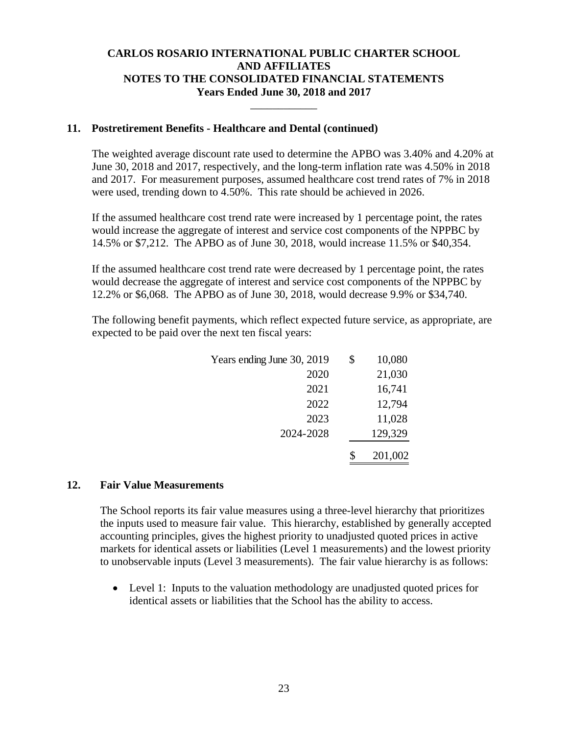\_\_\_\_\_\_\_\_\_\_\_\_

### **11. Postretirement Benefits - Healthcare and Dental (continued)**

The weighted average discount rate used to determine the APBO was 3.40% and 4.20% at June 30, 2018 and 2017, respectively, and the long-term inflation rate was 4.50% in 2018 and 2017. For measurement purposes, assumed healthcare cost trend rates of 7% in 2018 were used, trending down to 4.50%. This rate should be achieved in 2026.

If the assumed healthcare cost trend rate were increased by 1 percentage point, the rates would increase the aggregate of interest and service cost components of the NPPBC by 14.5% or \$7,212. The APBO as of June 30, 2018, would increase 11.5% or \$40,354.

If the assumed healthcare cost trend rate were decreased by 1 percentage point, the rates would decrease the aggregate of interest and service cost components of the NPPBC by 12.2% or \$6,068. The APBO as of June 30, 2018, would decrease 9.9% or \$34,740.

The following benefit payments, which reflect expected future service, as appropriate, are expected to be paid over the next ten fiscal years:

| Years ending June 30, 2019 | \$ | 10,080  |
|----------------------------|----|---------|
| 2020                       |    | 21,030  |
| 2021                       |    | 16,741  |
| 2022                       |    | 12,794  |
| 2023                       |    | 11,028  |
| 2024-2028                  |    | 129,329 |
|                            | Я  | 201,002 |

#### **12. Fair Value Measurements**

The School reports its fair value measures using a three-level hierarchy that prioritizes the inputs used to measure fair value. This hierarchy, established by generally accepted accounting principles, gives the highest priority to unadjusted quoted prices in active markets for identical assets or liabilities (Level 1 measurements) and the lowest priority to unobservable inputs (Level 3 measurements). The fair value hierarchy is as follows:

 Level 1: Inputs to the valuation methodology are unadjusted quoted prices for identical assets or liabilities that the School has the ability to access.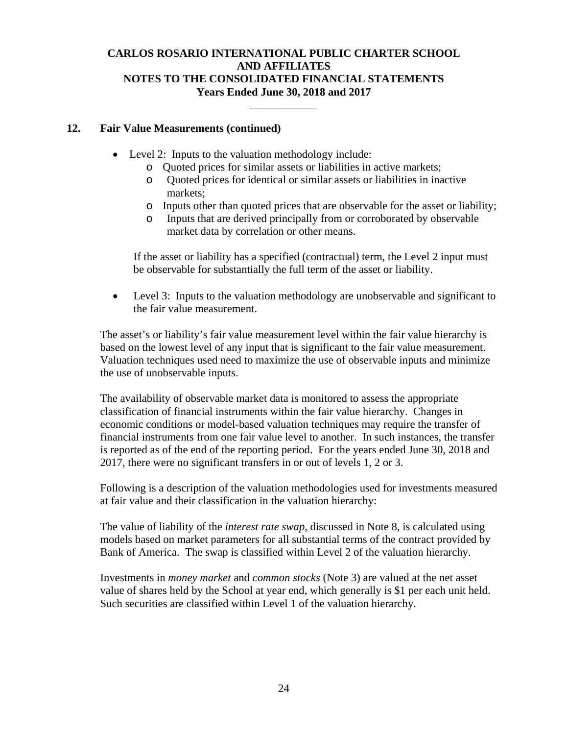\_\_\_\_\_\_\_\_\_\_\_\_

### **12. Fair Value Measurements (continued)**

- Level 2: Inputs to the valuation methodology include:
	- o Quoted prices for similar assets or liabilities in active markets;
	- o Quoted prices for identical or similar assets or liabilities in inactive markets;
	- o Inputs other than quoted prices that are observable for the asset or liability;
	- o Inputs that are derived principally from or corroborated by observable market data by correlation or other means.

If the asset or liability has a specified (contractual) term, the Level 2 input must be observable for substantially the full term of the asset or liability.

• Level 3: Inputs to the valuation methodology are unobservable and significant to the fair value measurement.

The asset's or liability's fair value measurement level within the fair value hierarchy is based on the lowest level of any input that is significant to the fair value measurement. Valuation techniques used need to maximize the use of observable inputs and minimize the use of unobservable inputs.

The availability of observable market data is monitored to assess the appropriate classification of financial instruments within the fair value hierarchy. Changes in economic conditions or model-based valuation techniques may require the transfer of financial instruments from one fair value level to another. In such instances, the transfer is reported as of the end of the reporting period. For the years ended June 30, 2018 and 2017, there were no significant transfers in or out of levels 1, 2 or 3.

Following is a description of the valuation methodologies used for investments measured at fair value and their classification in the valuation hierarchy:

The value of liability of the *interest rate swap*, discussed in Note 8, is calculated using models based on market parameters for all substantial terms of the contract provided by Bank of America. The swap is classified within Level 2 of the valuation hierarchy.

Investments in *money market* and *common stocks* (Note 3) are valued at the net asset value of shares held by the School at year end, which generally is \$1 per each unit held. Such securities are classified within Level 1 of the valuation hierarchy.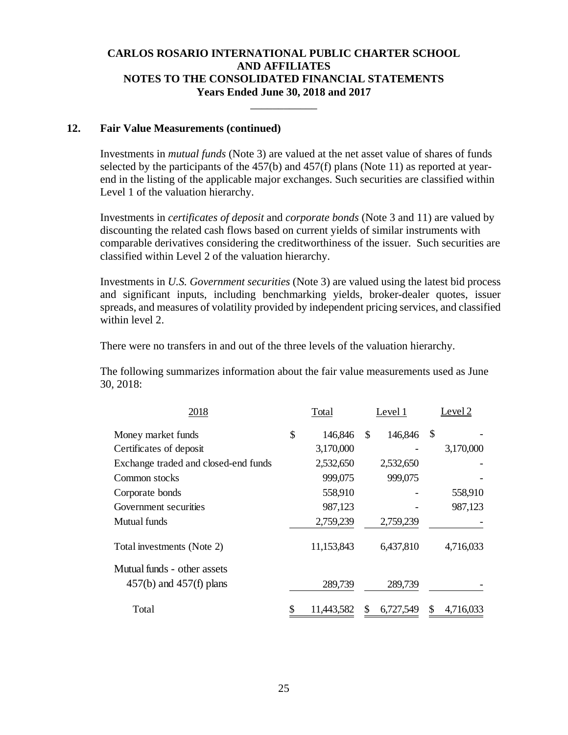\_\_\_\_\_\_\_\_\_\_\_\_

#### **12. Fair Value Measurements (continued)**

Investments in *mutual funds* (Note 3) are valued at the net asset value of shares of funds selected by the participants of the 457(b) and 457(f) plans (Note 11) as reported at yearend in the listing of the applicable major exchanges. Such securities are classified within Level 1 of the valuation hierarchy.

Investments in *certificates of deposit* and *corporate bonds* (Note 3 and 11) are valued by discounting the related cash flows based on current yields of similar instruments with comparable derivatives considering the creditworthiness of the issuer. Such securities are classified within Level 2 of the valuation hierarchy.

Investments in *U.S. Government securities* (Note 3) are valued using the latest bid process and significant inputs, including benchmarking yields, broker-dealer quotes, issuer spreads, and measures of volatility provided by independent pricing services, and classified within level 2.

There were no transfers in and out of the three levels of the valuation hierarchy.

The following summarizes information about the fair value measurements used as June 30, 2018:

| 2018                                 | Total         | Level 1 |           |    | Level 2   |
|--------------------------------------|---------------|---------|-----------|----|-----------|
| Money market funds                   | \$<br>146,846 | \$.     | 146,846   | \$ |           |
| Certificates of deposit              | 3,170,000     |         |           |    | 3,170,000 |
| Exchange traded and closed-end funds | 2,532,650     |         | 2,532,650 |    |           |
| Common stocks                        | 999,075       |         | 999,075   |    |           |
| Corporate bonds                      | 558,910       |         |           |    | 558,910   |
| Government securities                | 987,123       |         |           |    | 987,123   |
| Mutual funds                         | 2,759,239     |         | 2,759,239 |    |           |
| Total investments (Note 2)           | 11,153,843    |         | 6,437,810 |    | 4,716,033 |
| Mutual funds - other assets          |               |         |           |    |           |
| $457(b)$ and $457(f)$ plans          | 289,739       |         | 289,739   |    |           |
| Total                                | 11,443,582    |         | 6,727,549 | S  | 4,716,033 |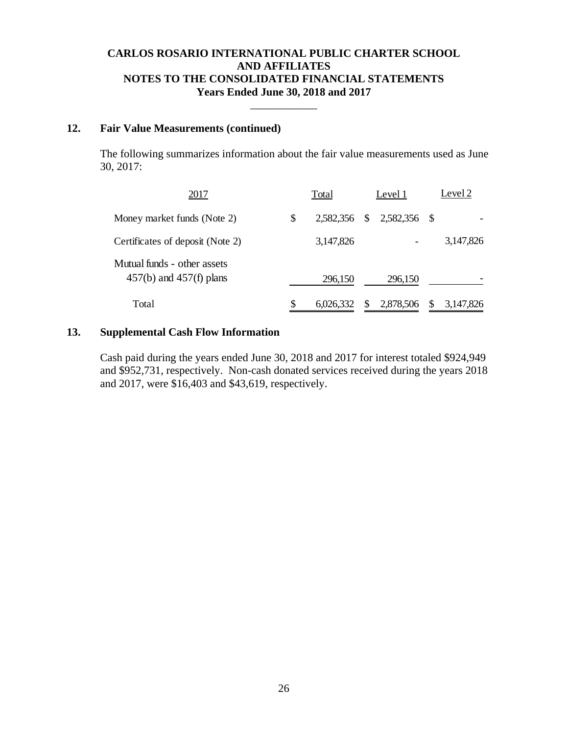\_\_\_\_\_\_\_\_\_\_\_\_

#### **12. Fair Value Measurements (continued)**

The following summarizes information about the fair value measurements used as June 30, 2017:

| 2017                                                       | Total           |   | Level 1                   |     | Level 2   |
|------------------------------------------------------------|-----------------|---|---------------------------|-----|-----------|
| Money market funds (Note 2)                                | \$              |   | 2,582,356 \$ 2,582,356 \$ |     |           |
| Certificates of deposit (Note 2)                           | 3,147,826       |   |                           |     | 3,147,826 |
| Mutual funds - other assets<br>$457(b)$ and $457(f)$ plans | 296,150         |   | 296,150                   |     |           |
| Total                                                      | \$<br>6,026,332 | S | 2,878,506                 | \$. | 3,147,826 |

### **13. Supplemental Cash Flow Information**

Cash paid during the years ended June 30, 2018 and 2017 for interest totaled \$924,949 and \$952,731, respectively. Non-cash donated services received during the years 2018 and 2017, were \$16,403 and \$43,619, respectively.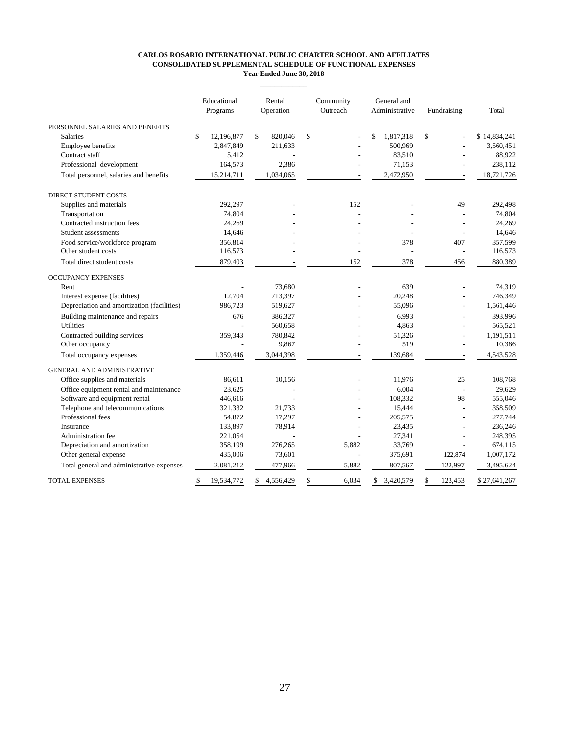#### **CARLOS ROSARIO INTERNATIONAL PUBLIC CHARTER SCHOOL AND AFFILIATES CONSOLIDATED SUPPLEMENTAL SCHEDULE OF FUNCTIONAL EXPENSES Year Ended June 30, 2018**

**\_\_\_\_\_\_\_\_\_\_\_\_\_**

|                                        | Educational<br>Programs |     | Rental<br>Operation      |    |                          |   | Community<br>Outreach    |    | General and<br>Administrative |              | Fundraising | Total |  |
|----------------------------------------|-------------------------|-----|--------------------------|----|--------------------------|---|--------------------------|----|-------------------------------|--------------|-------------|-------|--|
| PERSONNEL SALARIES AND BENEFITS        |                         |     |                          |    |                          |   |                          |    |                               |              |             |       |  |
| <b>Salaries</b>                        | \$<br>12.196.877        | \$. | 820,046                  | -S |                          | S | 1,817,318                | -S | $\overline{\phantom{a}}$      | \$14,834,241 |             |       |  |
| <b>Employee benefits</b>               | 2,847,849               |     | 211,633                  |    |                          |   | 500,969                  |    | $\overline{\phantom{0}}$      | 3,560,451    |             |       |  |
| Contract staff                         | 5,412                   |     |                          |    |                          |   | 83,510                   |    |                               | 88,922       |             |       |  |
| Professional development               | 164,573                 |     | 2,386                    |    |                          |   | 71,153                   |    |                               | 238,112      |             |       |  |
| Total personnel, salaries and benefits | 15,214,711              |     | 1.034.065                |    |                          |   | 2,472,950                |    |                               | 18,721,726   |             |       |  |
| <b>DIRECT STUDENT COSTS</b>            |                         |     |                          |    |                          |   |                          |    |                               |              |             |       |  |
| Supplies and materials                 | 292.297                 |     | -                        |    | 152                      |   |                          |    | 49                            | 292,498      |             |       |  |
| Transportation                         | 74.804                  |     | $\overline{\phantom{a}}$ |    | $\overline{\phantom{0}}$ |   | $\overline{\phantom{0}}$ |    | $\overline{\phantom{0}}$      | 74,804       |             |       |  |
| Contracted instruction fees            | 24.269                  |     | -                        |    |                          |   |                          |    |                               | 24.269       |             |       |  |

Contract staff 5,412 - 83,510 - 88,922 Professional development 164,573 2,386 - 71,153 - 238,112 Total personnel, salaries and benefits 15,214,711 1,034,065 - 2,472,950 - 18,721,726 Supplies and materials 292,498 - 292,297 - 152 - 49 292,498 Transportation 24,804 - 2012 - 2022 - 2022 - 2022 - 2023 - 2023 - 2023 - 2023 - 2023 - 2023 - 2023 - 2023 - 20 Contracted instruction fees 24,269  $\frac{24,269}{2}$  -  $\frac{24,269}{2}$ Student assessments 14,646 - - - - - - - - - - - 14,646 Food service/workforce program 356,814 - 357,599 - 357,599 Other student costs 116,573 - - - - - - - - - - 116,573 Total direct student costs 879,403 - 152 378 456 880,389 Rent 2008 - 73,680 - 73,680 - 639 - 74,319 Interest expense (facilities) 12,704 713,397 - 20,248 - 746,349 Depreciation and amortization (facilities) 986,723 519,627 - 55,096 - 1,561,446 Building maintenance and repairs 676 386,327 - 6,993 - 393,996 Utilities 1988 - 560,658 - 560,658 - 4,863 - 565,521 Contracted building services 359,343 780,842 - 51,326 - 1,191,511 Other occupancy 10,386 - 9,867 - 519 - 10,386 Total occupancy expenses 1,359,446 3,044,398 - 139,684 - 4,543,528 Office supplies and materials 86,611 10,156 - 11,976 25 108,768 Office equipment rental and maintenance  $23,625$  -  $6,004$  - 29,629 Software and equipment rental <br>
321.332 1.733 15.444 - 108,332 98 555,046<br>
38.509 15.444 - 15.444 388.509 Telephone and telecommunications Professional fees 277,744  $\frac{54,872}{205,575}$  - 205,575 - 277,744 Insurance 133,897 78,914 - 23,435 - 236,246 Administration fee 221,054 - 27,341 - 248,395 Depreciation and amortization and amortization 358,199 276,265 5,882 33,769 674,115<br>
Other general expense 435,006 73,601 5,882 375,691 122,874 1,007,172 Other general expense 435,006 73,601 - 375,691 Total general and administrative expenses 2,081,212 477,966 5,882 807,567 122,997 3,495,624 \$ 19,534,772 \$ 4,556,429 \$ 6,034 \$ 3,420,579 \$ 123,453 \$ 27,641,267 OCCUPANCY EXPENSES GENERAL AND ADMINISTRATIVE TOTAL EXPENSES DIRECT STUDENT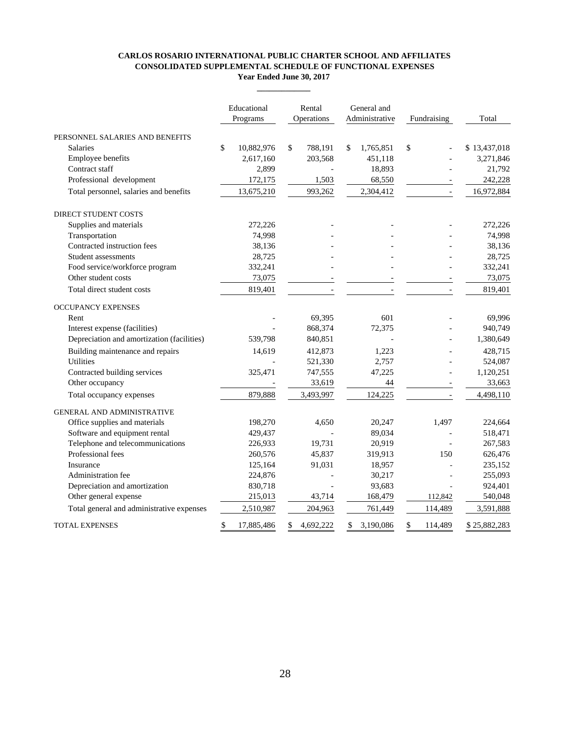#### **CARLOS ROSARIO INTERNATIONAL PUBLIC CHARTER SCHOOL AND AFFILIATES CONSOLIDATED SUPPLEMENTAL SCHEDULE OF FUNCTIONAL EXPENSES Year Ended June 30, 2017**

**\_\_\_\_\_\_\_\_\_\_\_\_\_**

|                                            | Educational<br>Programs | Rental<br>Operations | General and<br>Administrative | Fundraising   | Total        |
|--------------------------------------------|-------------------------|----------------------|-------------------------------|---------------|--------------|
| PERSONNEL SALARIES AND BENEFITS            |                         |                      |                               |               |              |
| <b>Salaries</b>                            | \$<br>10,882,976        | \$<br>788,191        | \$<br>1,765,851               | \$            | \$13,437,018 |
| Employee benefits                          | 2,617,160               | 203,568              | 451,118                       |               | 3,271,846    |
| Contract staff                             | 2,899                   |                      | 18,893                        |               | 21,792       |
| Professional development                   | 172,175                 | 1,503                | 68,550                        |               | 242,228      |
| Total personnel, salaries and benefits     | 13,675,210              | 993,262              | 2,304,412                     |               | 16,972,884   |
| <b>DIRECT STUDENT COSTS</b>                |                         |                      |                               |               |              |
| Supplies and materials                     | 272,226                 |                      |                               |               | 272,226      |
| Transportation                             | 74,998                  |                      |                               |               | 74,998       |
| Contracted instruction fees                | 38,136                  |                      |                               |               | 38,136       |
| Student assessments                        | 28,725                  |                      |                               |               | 28,725       |
| Food service/workforce program             | 332,241                 |                      |                               |               | 332,241      |
| Other student costs                        | 73,075                  |                      |                               |               | 73,075       |
| Total direct student costs                 | 819,401                 |                      |                               |               | 819,401      |
| <b>OCCUPANCY EXPENSES</b>                  |                         |                      |                               |               |              |
| Rent                                       |                         | 69,395               | 601                           |               | 69,996       |
| Interest expense (facilities)              |                         | 868,374              | 72,375                        |               | 940,749      |
| Depreciation and amortization (facilities) | 539,798                 | 840,851              |                               |               | 1,380,649    |
| Building maintenance and repairs           | 14,619                  | 412,873              | 1,223                         |               | 428,715      |
| <b>Utilities</b>                           |                         | 521,330              | 2,757                         |               | 524,087      |
| Contracted building services               | 325,471                 | 747,555              | 47,225                        |               | 1,120,251    |
| Other occupancy                            |                         | 33,619               | 44                            |               | 33,663       |
| Total occupancy expenses                   | 879,888                 | 3,493,997            | 124,225                       |               | 4,498,110    |
| <b>GENERAL AND ADMINISTRATIVE</b>          |                         |                      |                               |               |              |
| Office supplies and materials              | 198,270                 | 4,650                | 20,247                        | 1,497         | 224,664      |
| Software and equipment rental              | 429,437                 |                      | 89,034                        |               | 518,471      |
| Telephone and telecommunications           | 226,933                 | 19,731               | 20,919                        |               | 267,583      |
| Professional fees                          | 260,576                 | 45,837               | 319,913                       | 150           | 626,476      |
| Insurance                                  | 125,164                 | 91,031               | 18,957                        |               | 235,152      |
| <b>Administration fee</b>                  | 224,876                 |                      | 30,217                        |               | 255,093      |
| Depreciation and amortization              | 830,718                 |                      | 93,683                        |               | 924,401      |
| Other general expense                      | 215,013                 | 43,714               | 168,479                       | 112,842       | 540,048      |
| Total general and administrative expenses  | 2,510,987               | 204,963              | 761,449                       | 114,489       | 3,591,888    |
| <b>TOTAL EXPENSES</b>                      | \$<br>17,885,486        | \$<br>4,692,222      | \$<br>3,190,086               | \$<br>114,489 | \$25,882,283 |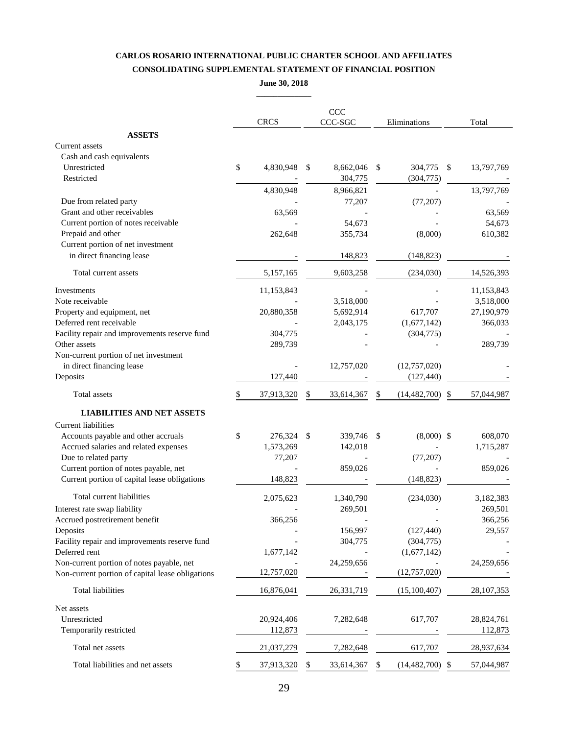### **CARLOS ROSARIO INTERNATIONAL PUBLIC CHARTER SCHOOL AND AFFILIATES CONSOLIDATING SUPPLEMENTAL STATEMENT OF FINANCIAL POSITION**

**June 30, 2018**

|                                                  |                  | CCC                        |      |                       |               |              |
|--------------------------------------------------|------------------|----------------------------|------|-----------------------|---------------|--------------|
|                                                  | <b>CRCS</b>      | CCC-SGC                    |      | Eliminations          |               | Total        |
| <b>ASSETS</b>                                    |                  |                            |      |                       |               |              |
| Current assets                                   |                  |                            |      |                       |               |              |
| Cash and cash equivalents                        |                  |                            |      |                       |               |              |
| Unrestricted<br>Restricted                       | \$<br>4,830,948  | \$<br>8,662,046<br>304,775 | \$   | 304,775<br>(304, 775) | \$            | 13,797,769   |
|                                                  | 4,830,948        | 8,966,821                  |      |                       |               | 13,797,769   |
| Due from related party                           |                  | 77,207                     |      | (77, 207)             |               |              |
| Grant and other receivables                      | 63,569           |                            |      |                       |               | 63,569       |
| Current portion of notes receivable              |                  | 54,673                     |      |                       |               | 54,673       |
| Prepaid and other                                | 262,648          | 355,734                    |      | (8,000)               |               | 610,382      |
| Current portion of net investment                |                  |                            |      |                       |               |              |
| in direct financing lease                        |                  | 148,823                    |      | (148, 823)            |               |              |
| Total current assets                             | 5,157,165        | 9,603,258                  |      | (234,030)             |               | 14,526,393   |
| <b>Investments</b>                               | 11,153,843       |                            |      |                       |               | 11,153,843   |
| Note receivable                                  |                  | 3,518,000                  |      |                       |               | 3,518,000    |
| Property and equipment, net                      | 20,880,358       | 5,692,914                  |      | 617,707               |               | 27,190,979   |
| Deferred rent receivable                         |                  | 2,043,175                  |      | (1,677,142)           |               | 366,033      |
| Facility repair and improvements reserve fund    | 304,775          |                            |      | (304, 775)            |               |              |
| Other assets                                     | 289,739          |                            |      |                       |               | 289,739      |
| Non-current portion of net investment            |                  |                            |      |                       |               |              |
| in direct financing lease                        |                  | 12,757,020                 |      | (12, 757, 020)        |               |              |
| Deposits                                         | 127,440          |                            |      | (127, 440)            |               |              |
| Total assets                                     | \$<br>37,913,320 | \$<br>33,614,367           | \$   | (14, 482, 700)        | <sup>\$</sup> | 57,044,987   |
| <b>LIABILITIES AND NET ASSETS</b>                |                  |                            |      |                       |               |              |
| <b>Current liabilities</b>                       |                  |                            |      |                       |               |              |
| Accounts payable and other accruals              | \$<br>276,324    | \$<br>339,746              | - \$ | $(8,000)$ \$          |               | 608,070      |
| Accrued salaries and related expenses            | 1,573,269        | 142,018                    |      |                       |               | 1,715,287    |
| Due to related party                             | 77,207           |                            |      | (77, 207)             |               |              |
| Current portion of notes payable, net            |                  | 859,026                    |      |                       |               | 859,026      |
| Current portion of capital lease obligations     | 148,823          |                            |      | (148, 823)            |               |              |
| Total current liabilities                        | 2,075,623        | 1,340,790                  |      | (234,030)             |               | 3,182,383    |
| Interest rate swap liability                     |                  | 269,501                    |      |                       |               | 269,501      |
| Accrued postretirement benefit                   | 366,256          |                            |      |                       |               | 366,256      |
| Deposits                                         |                  | 156,997                    |      | (127, 440)            |               | 29,557       |
| Facility repair and improvements reserve fund    |                  | 304,775                    |      | (304, 775)            |               |              |
| Deferred rent                                    | 1,677,142        |                            |      | (1,677,142)           |               |              |
| Non-current portion of notes payable, net        |                  | 24,259,656                 |      |                       |               | 24,259,656   |
| Non-current portion of capital lease obligations | 12,757,020       |                            |      | (12, 757, 020)        |               |              |
| Total liabilities                                | 16,876,041       | 26, 331, 719               |      | (15,100,407)          |               | 28, 107, 353 |
| Net assets                                       |                  |                            |      |                       |               |              |
| Unrestricted                                     | 20,924,406       | 7,282,648                  |      | 617,707               |               | 28,824,761   |
| Temporarily restricted                           | 112,873          |                            |      |                       |               | 112,873      |
| Total net assets                                 | 21,037,279       | 7,282,648                  |      | 617,707               |               | 28,937,634   |
| Total liabilities and net assets                 | \$<br>37,913,320 | \$<br>33,614,367           | S    | (14, 482, 700)        | \$            | 57,044,987   |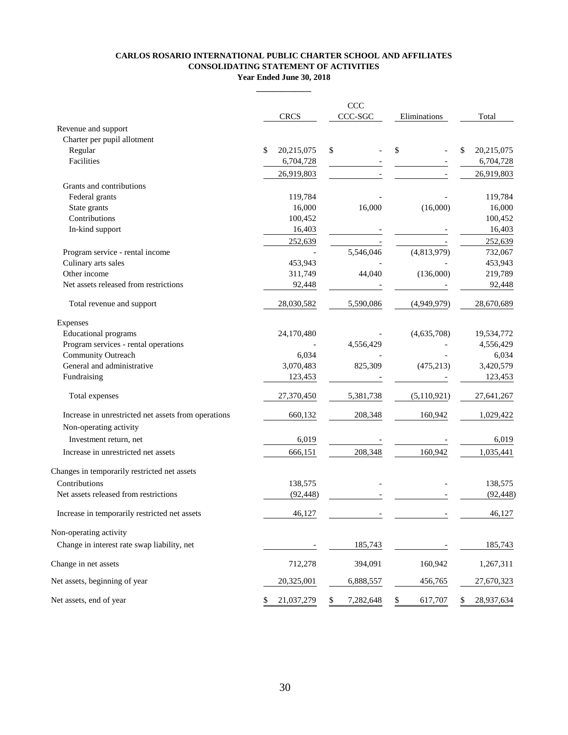#### **CARLOS ROSARIO INTERNATIONAL PUBLIC CHARTER SCHOOL AND AFFILIATES CONSOLIDATING STATEMENT OF ACTIVITIES Year Ended June 30, 2018**

**\_\_\_\_\_\_\_\_\_\_\_\_\_**

|                                                     | <b>CRCS</b>      | CCC<br>CCC-SGC  | Eliminations  | Total            |
|-----------------------------------------------------|------------------|-----------------|---------------|------------------|
| Revenue and support                                 |                  |                 |               |                  |
| Charter per pupil allotment                         |                  |                 |               |                  |
| Regular                                             | \$<br>20,215,075 | \$              | \$            | \$<br>20,215,075 |
| Facilities                                          | 6,704,728        |                 |               | 6,704,728        |
|                                                     | 26,919,803       |                 |               | 26,919,803       |
| Grants and contributions                            |                  |                 |               |                  |
| Federal grants                                      | 119,784          |                 |               | 119,784          |
| State grants                                        | 16,000           | 16,000          | (16,000)      | 16,000           |
| Contributions                                       | 100,452          |                 |               | 100,452          |
| In-kind support                                     | 16,403           |                 |               | 16,403           |
|                                                     | 252,639          |                 |               | 252,639          |
| Program service - rental income                     |                  | 5,546,046       | (4,813,979)   | 732,067          |
| Culinary arts sales                                 | 453,943          |                 |               | 453,943          |
| Other income                                        | 311,749          | 44,040          | (136,000)     | 219,789          |
| Net assets released from restrictions               | 92,448           |                 |               | 92,448           |
| Total revenue and support                           | 28,030,582       | 5,590,086       | (4,949,979)   | 28,670,689       |
| Expenses                                            |                  |                 |               |                  |
| <b>Educational programs</b>                         | 24,170,480       |                 | (4,635,708)   | 19,534,772       |
| Program services - rental operations                |                  | 4,556,429       |               | 4,556,429        |
| Community Outreach                                  | 6,034            |                 |               | 6,034            |
| General and administrative                          | 3,070,483        | 825,309         | (475, 213)    | 3,420,579        |
| Fundraising                                         | 123,453          |                 |               | 123,453          |
| Total expenses                                      | 27,370,450       | 5,381,738       | (5, 110, 921) | 27,641,267       |
| Increase in unrestricted net assets from operations | 660,132          | 208,348         | 160,942       | 1,029,422        |
| Non-operating activity                              |                  |                 |               |                  |
| Investment return, net                              | 6,019            |                 |               | 6,019            |
| Increase in unrestricted net assets                 | 666,151          | 208,348         | 160,942       | 1,035,441        |
| Changes in temporarily restricted net assets        |                  |                 |               |                  |
| Contributions                                       | 138,575          |                 |               | 138,575          |
| Net assets released from restrictions               | (92, 448)        |                 |               | (92, 448)        |
| Increase in temporarily restricted net assets       | 46,127           |                 |               | 46,127           |
| Non-operating activity                              |                  |                 |               |                  |
| Change in interest rate swap liability, net         |                  | 185,743         |               | 185,743          |
| Change in net assets                                | 712,278          | 394,091         | 160,942       | 1,267,311        |
| Net assets, beginning of year                       | 20,325,001       | 6,888,557       | 456,765       | 27,670,323       |
| Net assets, end of year                             | \$<br>21,037,279 | \$<br>7,282,648 | \$<br>617,707 | \$<br>28,937,634 |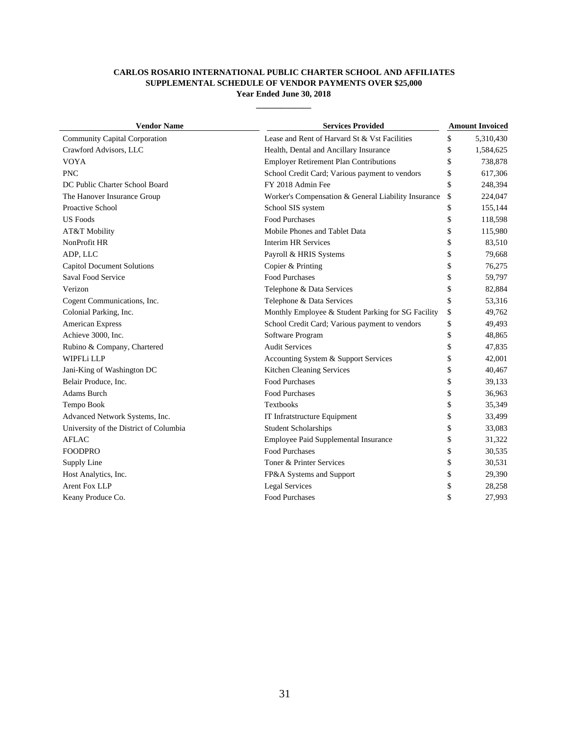#### **CARLOS ROSARIO INTERNATIONAL PUBLIC CHARTER SCHOOL AND AFFILIATES SUPPLEMENTAL SCHEDULE OF VENDOR PAYMENTS OVER \$25,000 Year Ended June 30, 2018**

**\_\_\_\_\_\_\_\_\_\_\_\_\_**

| <b>Vendor Name</b>                     | <b>Services Provided</b>                            | <b>Amount Invoiced</b> |           |
|----------------------------------------|-----------------------------------------------------|------------------------|-----------|
| <b>Community Capital Corporation</b>   | Lease and Rent of Harvard St & Vst Facilities       | \$                     | 5,310,430 |
| Crawford Advisors, LLC                 | Health, Dental and Ancillary Insurance              | \$                     | 1,584,625 |
| <b>VOYA</b>                            | <b>Employer Retirement Plan Contributions</b>       | \$                     | 738,878   |
| <b>PNC</b>                             | School Credit Card; Various payment to vendors      | \$                     | 617,306   |
| DC Public Charter School Board         | FY 2018 Admin Fee                                   | \$                     | 248,394   |
| The Hanover Insurance Group            | Worker's Compensation & General Liability Insurance | \$                     | 224,047   |
| Proactive School                       | School SIS system                                   | \$                     | 155,144   |
| <b>US Foods</b>                        | <b>Food Purchases</b>                               | \$                     | 118,598   |
| AT&T Mobility                          | Mobile Phones and Tablet Data                       | \$                     | 115,980   |
| NonProfit HR                           | <b>Interim HR Services</b>                          | \$                     | 83,510    |
| ADP, LLC                               | Payroll & HRIS Systems                              | \$                     | 79,668    |
| <b>Capitol Document Solutions</b>      | Copier & Printing                                   | \$                     | 76,275    |
| Saval Food Service                     | <b>Food Purchases</b>                               | \$                     | 59,797    |
| Verizon                                | Telephone & Data Services                           | \$                     | 82,884    |
| Cogent Communications, Inc.            | Telephone & Data Services                           | \$                     | 53,316    |
| Colonial Parking, Inc.                 | Monthly Employee & Student Parking for SG Facility  | \$                     | 49,762    |
| <b>American Express</b>                | School Credit Card; Various payment to vendors      | \$                     | 49,493    |
| Achieve 3000, Inc.                     | Software Program                                    | \$                     | 48,865    |
| Rubino & Company, Chartered            | <b>Audit Services</b>                               | \$                     | 47,835    |
| WIPFLi LLP                             | Accounting System & Support Services                | \$                     | 42,001    |
| Jani-King of Washington DC             | Kitchen Cleaning Services                           | \$                     | 40,467    |
| Belair Produce, Inc.                   | <b>Food Purchases</b>                               | \$                     | 39,133    |
| Adams Burch                            | <b>Food Purchases</b>                               | \$                     | 36,963    |
| Tempo Book                             | <b>Textbooks</b>                                    | \$                     | 35,349    |
| Advanced Network Systems, Inc.         | IT Infratstructure Equipment                        | \$                     | 33,499    |
| University of the District of Columbia | <b>Student Scholarships</b>                         | \$                     | 33,083    |
| <b>AFLAC</b>                           | Employee Paid Supplemental Insurance                | \$                     | 31,322    |
| <b>FOODPRO</b>                         | Food Purchases                                      | \$                     | 30,535    |
| Supply Line                            | Toner & Printer Services                            | \$                     | 30,531    |
| Host Analytics, Inc.                   | FP&A Systems and Support                            | \$                     | 29,390    |
| <b>Arent Fox LLP</b>                   | <b>Legal Services</b>                               | \$                     | 28,258    |
| Keany Produce Co.                      | <b>Food Purchases</b>                               | \$                     | 27,993    |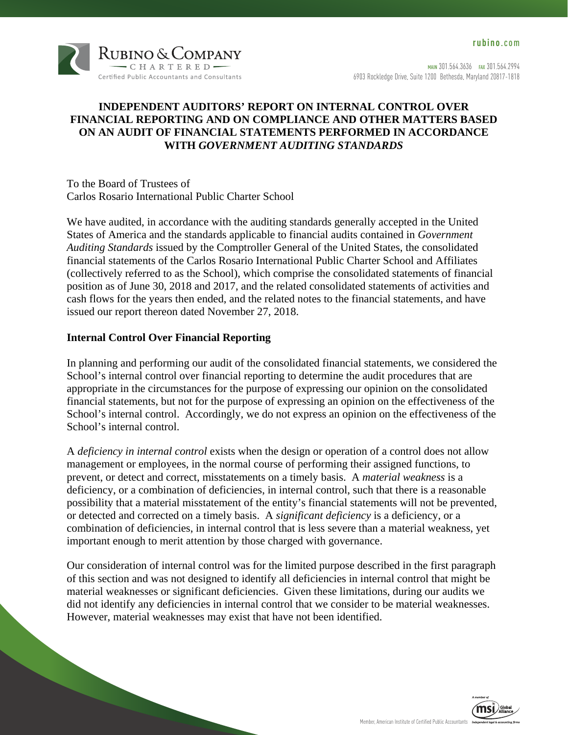

### **INDEPENDENT AUDITORS' REPORT ON INTERNAL CONTROL OVER FINANCIAL REPORTING AND ON COMPLIANCE AND OTHER MATTERS BASED ON AN AUDIT OF FINANCIAL STATEMENTS PERFORMED IN ACCORDANCE WITH** *GOVERNMENT AUDITING STANDARDS*

To the Board of Trustees of Carlos Rosario International Public Charter School

We have audited, in accordance with the auditing standards generally accepted in the United States of America and the standards applicable to financial audits contained in *Government Auditing Standards* issued by the Comptroller General of the United States, the consolidated financial statements of the Carlos Rosario International Public Charter School and Affiliates (collectively referred to as the School), which comprise the consolidated statements of financial position as of June 30, 2018 and 2017, and the related consolidated statements of activities and cash flows for the years then ended, and the related notes to the financial statements, and have issued our report thereon dated November 27, 2018.

### **Internal Control Over Financial Reporting**

In planning and performing our audit of the consolidated financial statements, we considered the School's internal control over financial reporting to determine the audit procedures that are appropriate in the circumstances for the purpose of expressing our opinion on the consolidated financial statements, but not for the purpose of expressing an opinion on the effectiveness of the School's internal control. Accordingly, we do not express an opinion on the effectiveness of the School's internal control.

A *deficiency in internal control* exists when the design or operation of a control does not allow management or employees, in the normal course of performing their assigned functions, to prevent, or detect and correct, misstatements on a timely basis. A *material weakness* is a deficiency, or a combination of deficiencies, in internal control, such that there is a reasonable possibility that a material misstatement of the entity's financial statements will not be prevented, or detected and corrected on a timely basis. A *significant deficiency* is a deficiency, or a combination of deficiencies, in internal control that is less severe than a material weakness, yet important enough to merit attention by those charged with governance.

Our consideration of internal control was for the limited purpose described in the first paragraph of this section and was not designed to identify all deficiencies in internal control that might be material weaknesses or significant deficiencies. Given these limitations, during our audits we did not identify any deficiencies in internal control that we consider to be material weaknesses. However, material weaknesses may exist that have not been identified.

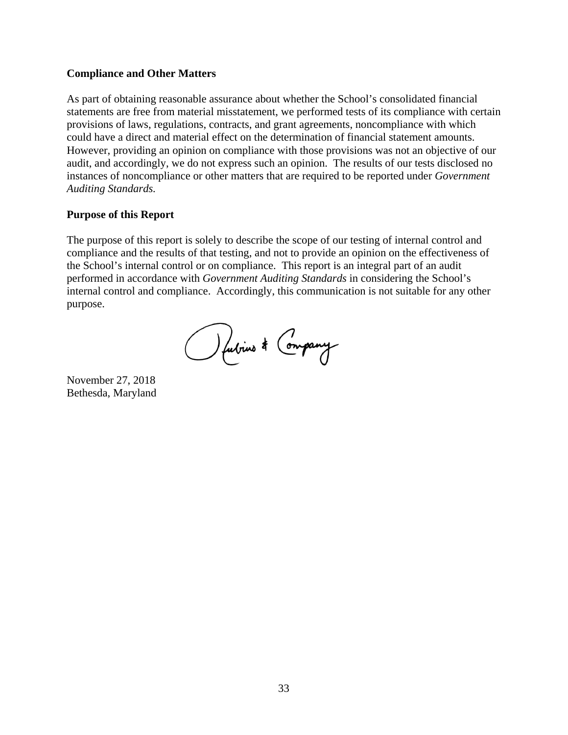### **Compliance and Other Matters**

As part of obtaining reasonable assurance about whether the School's consolidated financial statements are free from material misstatement, we performed tests of its compliance with certain provisions of laws, regulations, contracts, and grant agreements, noncompliance with which could have a direct and material effect on the determination of financial statement amounts. However, providing an opinion on compliance with those provisions was not an objective of our audit, and accordingly, we do not express such an opinion. The results of our tests disclosed no instances of noncompliance or other matters that are required to be reported under *Government Auditing Standards.* 

### **Purpose of this Report**

The purpose of this report is solely to describe the scope of our testing of internal control and compliance and the results of that testing, and not to provide an opinion on the effectiveness of the School's internal control or on compliance. This report is an integral part of an audit performed in accordance with *Government Auditing Standards* in considering the School's internal control and compliance. Accordingly, this communication is not suitable for any other purpose.

Outrine & Company

November 27, 2018 Bethesda, Maryland